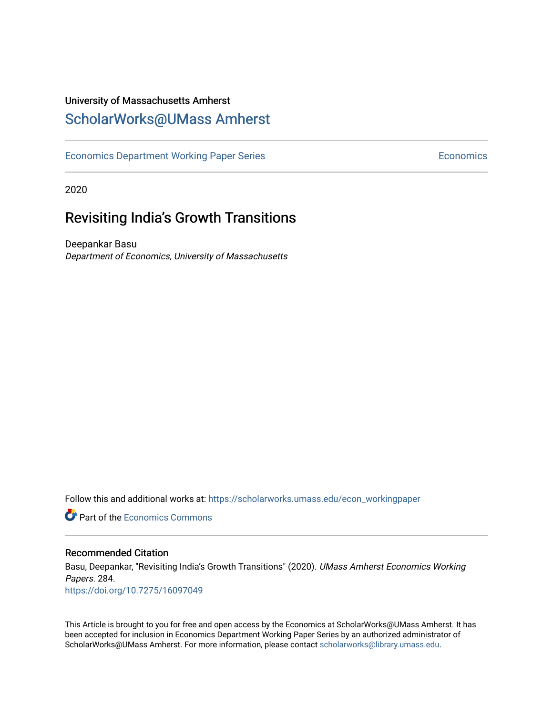# University of Massachusetts Amherst [ScholarWorks@UMass Amherst](https://scholarworks.umass.edu/)

[Economics Department Working Paper Series](https://scholarworks.umass.edu/econ_workingpaper) **Economics** Economics

2020

# Revisiting India's Growth Transitions

Deepankar Basu Department of Economics, University of Massachusetts

Follow this and additional works at: [https://scholarworks.umass.edu/econ\\_workingpaper](https://scholarworks.umass.edu/econ_workingpaper?utm_source=scholarworks.umass.edu%2Fecon_workingpaper%2F284&utm_medium=PDF&utm_campaign=PDFCoverPages) 

**Part of the [Economics Commons](http://network.bepress.com/hgg/discipline/340?utm_source=scholarworks.umass.edu%2Fecon_workingpaper%2F284&utm_medium=PDF&utm_campaign=PDFCoverPages)** 

### Recommended Citation

Basu, Deepankar, "Revisiting India's Growth Transitions" (2020). UMass Amherst Economics Working Papers. 284. <https://doi.org/10.7275/16097049>

This Article is brought to you for free and open access by the Economics at ScholarWorks@UMass Amherst. It has been accepted for inclusion in Economics Department Working Paper Series by an authorized administrator of ScholarWorks@UMass Amherst. For more information, please contact [scholarworks@library.umass.edu.](mailto:scholarworks@library.umass.edu)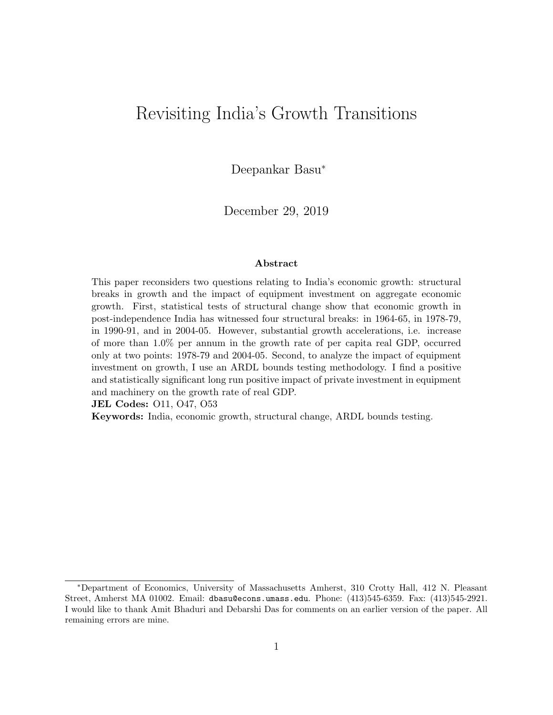# Revisiting India's Growth Transitions

Deepankar Basu<sup>∗</sup>

December 29, 2019

#### Abstract

This paper reconsiders two questions relating to India's economic growth: structural breaks in growth and the impact of equipment investment on aggregate economic growth. First, statistical tests of structural change show that economic growth in post-independence India has witnessed four structural breaks: in 1964-65, in 1978-79, in 1990-91, and in 2004-05. However, substantial growth accelerations, i.e. increase of more than 1.0% per annum in the growth rate of per capita real GDP, occurred only at two points: 1978-79 and 2004-05. Second, to analyze the impact of equipment investment on growth, I use an ARDL bounds testing methodology. I find a positive and statistically significant long run positive impact of private investment in equipment and machinery on the growth rate of real GDP.

JEL Codes: O11, O47, O53

Keywords: India, economic growth, structural change, ARDL bounds testing.

<sup>∗</sup>Department of Economics, University of Massachusetts Amherst, 310 Crotty Hall, 412 N. Pleasant Street, Amherst MA 01002. Email: dbasu@econs.umass.edu. Phone: (413)545-6359. Fax: (413)545-2921. I would like to thank Amit Bhaduri and Debarshi Das for comments on an earlier version of the paper. All remaining errors are mine.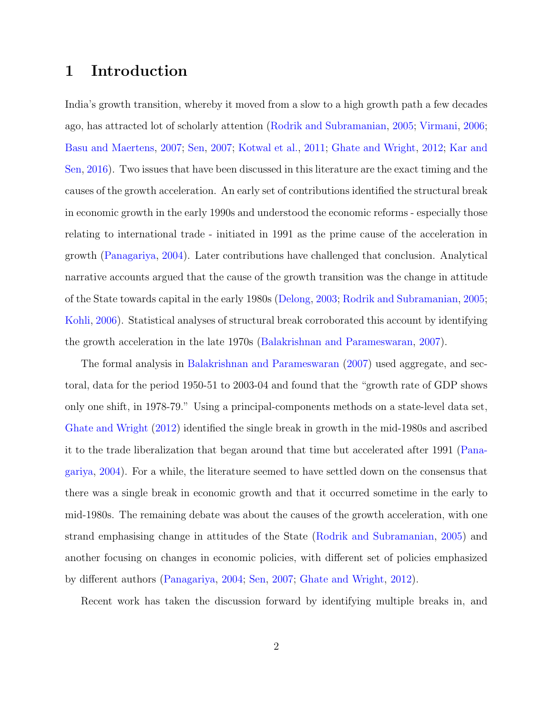# 1 Introduction

India's growth transition, whereby it moved from a slow to a high growth path a few decades ago, has attracted lot of scholarly attention [\(Rodrik and Subramanian,](#page-27-0) [2005;](#page-27-0) [Virmani,](#page-28-0) [2006;](#page-28-0) [Basu and Maertens,](#page-25-0) [2007;](#page-25-0) [Sen,](#page-28-1) [2007;](#page-28-1) [Kotwal et al.,](#page-27-1) [2011;](#page-27-1) [Ghate and Wright,](#page-26-0) [2012;](#page-26-0) [Kar and](#page-27-2) [Sen,](#page-27-2) [2016\)](#page-27-2). Two issues that have been discussed in this literature are the exact timing and the causes of the growth acceleration. An early set of contributions identified the structural break in economic growth in the early 1990s and understood the economic reforms - especially those relating to international trade - initiated in 1991 as the prime cause of the acceleration in growth [\(Panagariya,](#page-27-3) [2004\)](#page-27-3). Later contributions have challenged that conclusion. Analytical narrative accounts argued that the cause of the growth transition was the change in attitude of the State towards capital in the early 1980s [\(Delong,](#page-26-1) [2003;](#page-26-1) [Rodrik and Subramanian,](#page-27-0) [2005;](#page-27-0) [Kohli,](#page-27-4) [2006\)](#page-27-4). Statistical analyses of structural break corroborated this account by identifying the growth acceleration in the late 1970s [\(Balakrishnan and Parameswaran,](#page-25-1) [2007\)](#page-25-1).

The formal analysis in [Balakrishnan and Parameswaran](#page-25-1) [\(2007\)](#page-25-1) used aggregate, and sectoral, data for the period 1950-51 to 2003-04 and found that the "growth rate of GDP shows only one shift, in 1978-79." Using a principal-components methods on a state-level data set, [Ghate and Wright](#page-26-0) [\(2012\)](#page-26-0) identified the single break in growth in the mid-1980s and ascribed it to the trade liberalization that began around that time but accelerated after 1991 [\(Pana](#page-27-3)[gariya,](#page-27-3) [2004\)](#page-27-3). For a while, the literature seemed to have settled down on the consensus that there was a single break in economic growth and that it occurred sometime in the early to mid-1980s. The remaining debate was about the causes of the growth acceleration, with one strand emphasising change in attitudes of the State [\(Rodrik and Subramanian,](#page-27-0) [2005\)](#page-27-0) and another focusing on changes in economic policies, with different set of policies emphasized by different authors [\(Panagariya,](#page-27-3) [2004;](#page-27-3) [Sen,](#page-28-1) [2007;](#page-28-1) [Ghate and Wright,](#page-26-0) [2012\)](#page-26-0).

Recent work has taken the discussion forward by identifying multiple breaks in, and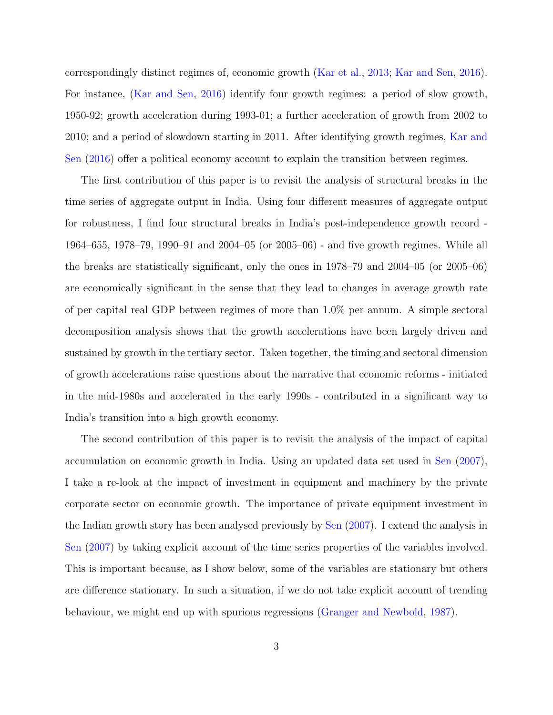correspondingly distinct regimes of, economic growth [\(Kar et al.,](#page-26-2) [2013;](#page-26-2) [Kar and Sen,](#page-27-2) [2016\)](#page-27-2). For instance, [\(Kar and Sen,](#page-27-2) [2016\)](#page-27-2) identify four growth regimes: a period of slow growth, 1950-92; growth acceleration during 1993-01; a further acceleration of growth from 2002 to 2010; and a period of slowdown starting in 2011. After identifying growth regimes, [Kar and](#page-27-2) [Sen](#page-27-2) [\(2016\)](#page-27-2) offer a political economy account to explain the transition between regimes.

The first contribution of this paper is to revisit the analysis of structural breaks in the time series of aggregate output in India. Using four different measures of aggregate output for robustness, I find four structural breaks in India's post-independence growth record - 1964–655, 1978–79, 1990–91 and 2004–05 (or 2005–06) - and five growth regimes. While all the breaks are statistically significant, only the ones in 1978–79 and 2004–05 (or 2005–06) are economically significant in the sense that they lead to changes in average growth rate of per capital real GDP between regimes of more than 1.0% per annum. A simple sectoral decomposition analysis shows that the growth accelerations have been largely driven and sustained by growth in the tertiary sector. Taken together, the timing and sectoral dimension of growth accelerations raise questions about the narrative that economic reforms - initiated in the mid-1980s and accelerated in the early 1990s - contributed in a significant way to India's transition into a high growth economy.

The second contribution of this paper is to revisit the analysis of the impact of capital accumulation on economic growth in India. Using an updated data set used in [Sen](#page-28-1) [\(2007\)](#page-28-1), I take a re-look at the impact of investment in equipment and machinery by the private corporate sector on economic growth. The importance of private equipment investment in the Indian growth story has been analysed previously by [Sen](#page-28-1) [\(2007\)](#page-28-1). I extend the analysis in [Sen](#page-28-1) [\(2007\)](#page-28-1) by taking explicit account of the time series properties of the variables involved. This is important because, as I show below, some of the variables are stationary but others are difference stationary. In such a situation, if we do not take explicit account of trending behaviour, we might end up with spurious regressions [\(Granger and Newbold,](#page-26-3) [1987\)](#page-26-3).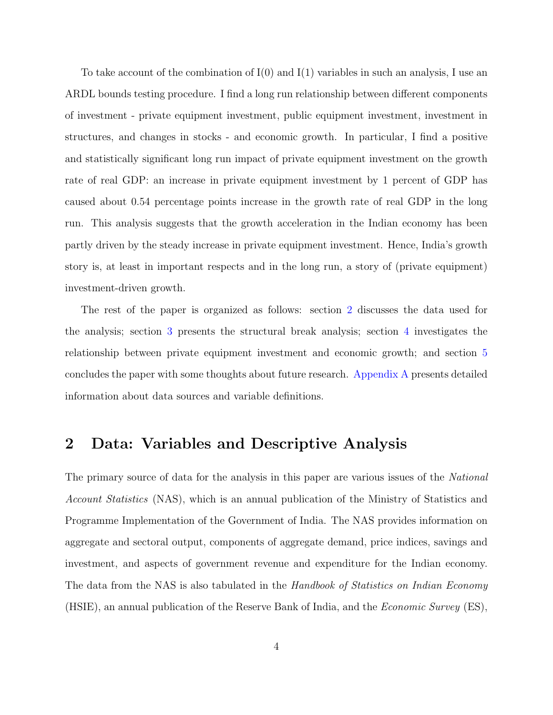To take account of the combination of I(0) and I(1) variables in such an analysis, I use an ARDL bounds testing procedure. I find a long run relationship between different components of investment - private equipment investment, public equipment investment, investment in structures, and changes in stocks - and economic growth. In particular, I find a positive and statistically significant long run impact of private equipment investment on the growth rate of real GDP: an increase in private equipment investment by 1 percent of GDP has caused about 0.54 percentage points increase in the growth rate of real GDP in the long run. This analysis suggests that the growth acceleration in the Indian economy has been partly driven by the steady increase in private equipment investment. Hence, India's growth story is, at least in important respects and in the long run, a story of (private equipment) investment-driven growth.

The rest of the paper is organized as follows: section [2](#page-4-0) discusses the data used for the analysis; section [3](#page-6-0) presents the structural break analysis; section [4](#page-13-0) investigates the relationship between private equipment investment and economic growth; and section [5](#page-23-0) concludes the paper with some thoughts about future research. [Appendix A](#page-39-0) presents detailed information about data sources and variable definitions.

# <span id="page-4-0"></span>2 Data: Variables and Descriptive Analysis

The primary source of data for the analysis in this paper are various issues of the *National* Account Statistics (NAS), which is an annual publication of the Ministry of Statistics and Programme Implementation of the Government of India. The NAS provides information on aggregate and sectoral output, components of aggregate demand, price indices, savings and investment, and aspects of government revenue and expenditure for the Indian economy. The data from the NAS is also tabulated in the Handbook of Statistics on Indian Economy (HSIE), an annual publication of the Reserve Bank of India, and the Economic Survey (ES),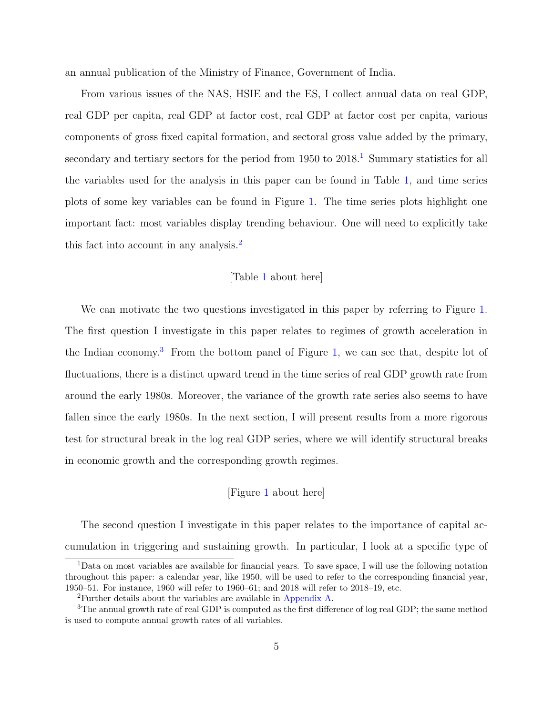an annual publication of the Ministry of Finance, Government of India.

From various issues of the NAS, HSIE and the ES, I collect annual data on real GDP, real GDP per capita, real GDP at factor cost, real GDP at factor cost per capita, various components of gross fixed capital formation, and sectoral gross value added by the primary, secondary and tertiary sectors for the period from  $1950$  $1950$  to  $2018<sup>1</sup>$ . Summary statistics for all the variables used for the analysis in this paper can be found in Table [1,](#page-29-0) and time series plots of some key variables can be found in Figure [1.](#page-37-0) The time series plots highlight one important fact: most variables display trending behaviour. One will need to explicitly take this fact into account in any analysis.<sup>[2](#page-5-1)</sup>

## [Table [1](#page-29-0) about here]

We can motivate the two questions investigated in this paper by referring to Figure [1.](#page-37-0) The first question I investigate in this paper relates to regimes of growth acceleration in the Indian economy.<sup>[3](#page-5-2)</sup> From the bottom panel of Figure [1,](#page-37-0) we can see that, despite lot of fluctuations, there is a distinct upward trend in the time series of real GDP growth rate from around the early 1980s. Moreover, the variance of the growth rate series also seems to have fallen since the early 1980s. In the next section, I will present results from a more rigorous test for structural break in the log real GDP series, where we will identify structural breaks in economic growth and the corresponding growth regimes.

#### [Figure [1](#page-37-0) about here]

The second question I investigate in this paper relates to the importance of capital accumulation in triggering and sustaining growth. In particular, I look at a specific type of

<span id="page-5-0"></span><sup>1</sup>Data on most variables are available for financial years. To save space, I will use the following notation throughout this paper: a calendar year, like 1950, will be used to refer to the corresponding financial year, 1950–51. For instance, 1960 will refer to 1960–61; and 2018 will refer to 2018–19, etc.

<span id="page-5-2"></span><span id="page-5-1"></span><sup>2</sup>Further details about the variables are available in [Appendix A.](#page-39-0)

<sup>3</sup>The annual growth rate of real GDP is computed as the first difference of log real GDP; the same method is used to compute annual growth rates of all variables.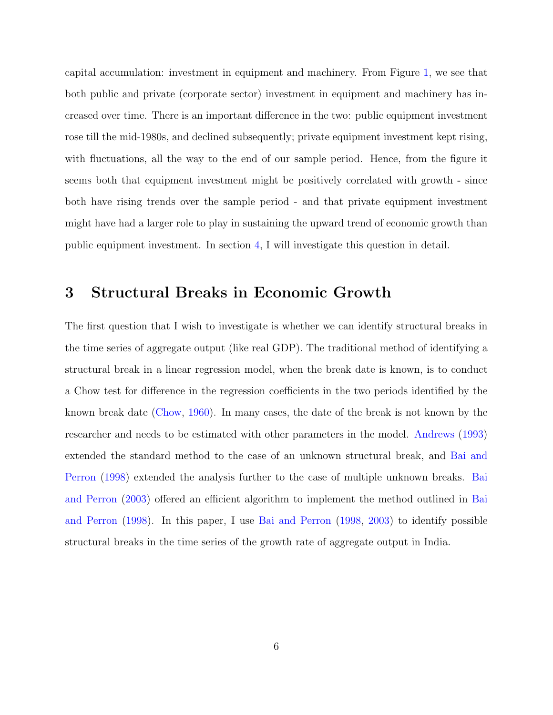capital accumulation: investment in equipment and machinery. From Figure [1,](#page-37-0) we see that both public and private (corporate sector) investment in equipment and machinery has increased over time. There is an important difference in the two: public equipment investment rose till the mid-1980s, and declined subsequently; private equipment investment kept rising, with fluctuations, all the way to the end of our sample period. Hence, from the figure it seems both that equipment investment might be positively correlated with growth - since both have rising trends over the sample period - and that private equipment investment might have had a larger role to play in sustaining the upward trend of economic growth than public equipment investment. In section [4,](#page-13-0) I will investigate this question in detail.

# <span id="page-6-0"></span>3 Structural Breaks in Economic Growth

The first question that I wish to investigate is whether we can identify structural breaks in the time series of aggregate output (like real GDP). The traditional method of identifying a structural break in a linear regression model, when the break date is known, is to conduct a Chow test for difference in the regression coefficients in the two periods identified by the known break date [\(Chow,](#page-26-4) [1960\)](#page-26-4). In many cases, the date of the break is not known by the researcher and needs to be estimated with other parameters in the model. [Andrews](#page-25-2) [\(1993\)](#page-25-2) extended the standard method to the case of an unknown structural break, and [Bai and](#page-25-3) [Perron](#page-25-3) [\(1998\)](#page-25-3) extended the analysis further to the case of multiple unknown breaks. [Bai](#page-25-4) [and Perron](#page-25-4) [\(2003\)](#page-25-4) offered an efficient algorithm to implement the method outlined in [Bai](#page-25-3) [and Perron](#page-25-3) [\(1998\)](#page-25-3). In this paper, I use [Bai and Perron](#page-25-3) [\(1998,](#page-25-3) [2003\)](#page-25-4) to identify possible structural breaks in the time series of the growth rate of aggregate output in India.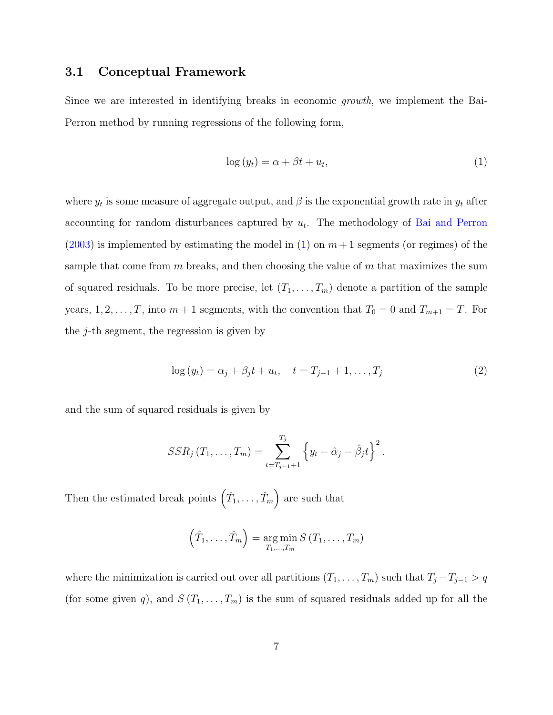# 3.1 Conceptual Framework

Since we are interested in identifying breaks in economic growth, we implement the Bai-Perron method by running regressions of the following form,

<span id="page-7-0"></span>
$$
\log(y_t) = \alpha + \beta t + u_t,\tag{1}
$$

where  $y_t$  is some measure of aggregate output, and  $\beta$  is the exponential growth rate in  $y_t$  after accounting for random disturbances captured by  $u_t$ . The methodology of [Bai and Perron](#page-25-4)  $(2003)$  is implemented by estimating the model in [\(1\)](#page-7-0) on  $m+1$  segments (or regimes) of the sample that come from  $m$  breaks, and then choosing the value of  $m$  that maximizes the sum of squared residuals. To be more precise, let  $(T_1, \ldots, T_m)$  denote a partition of the sample years,  $1, 2, \ldots, T$ , into  $m + 1$  segments, with the convention that  $T_0 = 0$  and  $T_{m+1} = T$ . For the  $j$ -th segment, the regression is given by

$$
\log(y_t) = \alpha_j + \beta_j t + u_t, \quad t = T_{j-1} + 1, \dots, T_j \tag{2}
$$

and the sum of squared residuals is given by

$$
SSR_j(T_1,...,T_m) = \sum_{t=T_{j-1}+1}^{T_j} \left\{ y_t - \hat{\alpha}_j - \hat{\beta}_j t \right\}^2.
$$

Then the estimated break points  $(\hat{T}_1, \ldots, \hat{T}_m)$  are such that

$$
(\hat{T}_1,\ldots,\hat{T}_m) = \underset{T_1,\ldots,T_m}{\arg\min} S(T_1,\ldots,T_m)
$$

where the minimization is carried out over all partitions  $(T_1, \ldots, T_m)$  such that  $T_j - T_{j-1} > q$ (for some given q), and  $S(T_1, \ldots, T_m)$  is the sum of squared residuals added up for all the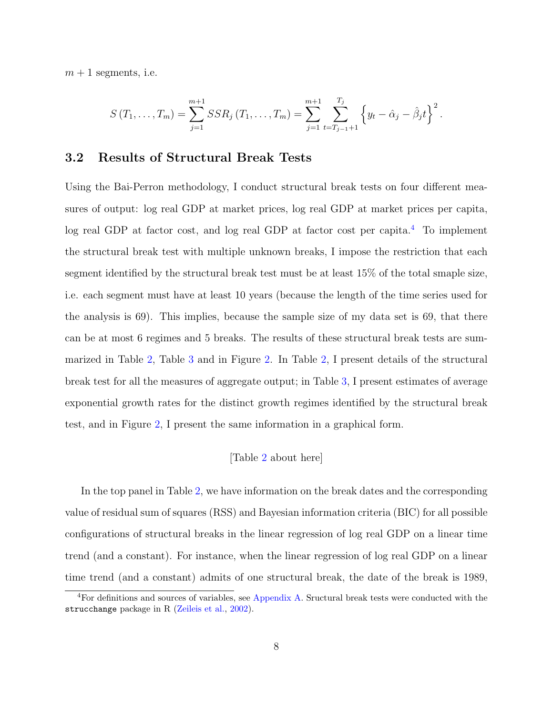$m + 1$  segments, i.e.

$$
S(T_1,\ldots,T_m)=\sum_{j=1}^{m+1}SSR_j(T_1,\ldots,T_m)=\sum_{j=1}^{m+1}\sum_{t=T_{j-1}+1}^{T_j}\left\{y_t-\hat{\alpha}_j-\hat{\beta}_jt\right\}^2.
$$

## 3.2 Results of Structural Break Tests

Using the Bai-Perron methodology, I conduct structural break tests on four different measures of output: log real GDP at market prices, log real GDP at market prices per capita, log real GDP at factor cost, and log real GDP at factor cost per capita.<sup>[4](#page-8-0)</sup> To implement the structural break test with multiple unknown breaks, I impose the restriction that each segment identified by the structural break test must be at least 15% of the total smaple size, i.e. each segment must have at least 10 years (because the length of the time series used for the analysis is 69). This implies, because the sample size of my data set is 69, that there can be at most 6 regimes and 5 breaks. The results of these structural break tests are summarized in Table [2,](#page-30-0) Table [3](#page-31-0) and in Figure [2.](#page-38-0) In Table [2,](#page-30-0) I present details of the structural break test for all the measures of aggregate output; in Table [3,](#page-31-0) I present estimates of average exponential growth rates for the distinct growth regimes identified by the structural break test, and in Figure [2,](#page-38-0) I present the same information in a graphical form.

#### [Table [2](#page-30-0) about here]

In the top panel in Table [2,](#page-30-0) we have information on the break dates and the corresponding value of residual sum of squares (RSS) and Bayesian information criteria (BIC) for all possible configurations of structural breaks in the linear regression of log real GDP on a linear time trend (and a constant). For instance, when the linear regression of log real GDP on a linear time trend (and a constant) admits of one structural break, the date of the break is 1989,

<span id="page-8-0"></span><sup>4</sup>For definitions and sources of variables, see [Appendix A.](#page-39-0) Sructural break tests were conducted with the strucchange package in R [\(Zeileis et al.,](#page-28-2) [2002\)](#page-28-2).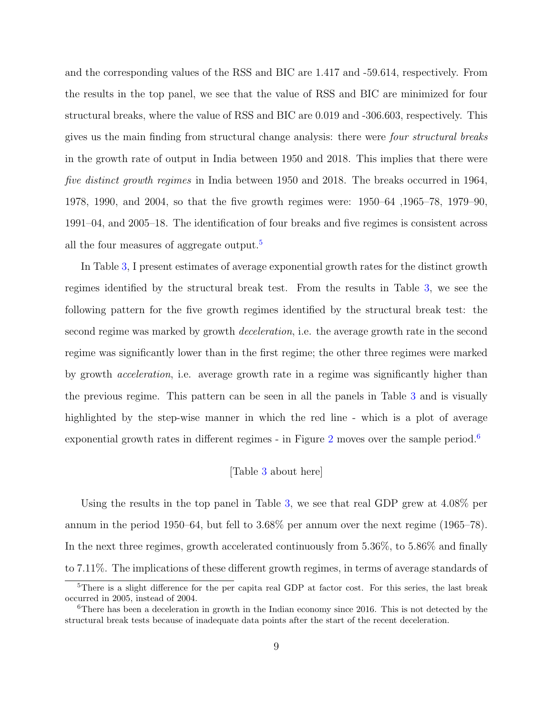and the corresponding values of the RSS and BIC are 1.417 and -59.614, respectively. From the results in the top panel, we see that the value of RSS and BIC are minimized for four structural breaks, where the value of RSS and BIC are 0.019 and -306.603, respectively. This gives us the main finding from structural change analysis: there were four structural breaks in the growth rate of output in India between 1950 and 2018. This implies that there were five distinct growth regimes in India between 1950 and 2018. The breaks occurred in 1964, 1978, 1990, and 2004, so that the five growth regimes were: 1950–64 ,1965–78, 1979–90, 1991–04, and 2005–18. The identification of four breaks and five regimes is consistent across all the four measures of aggregate output.<sup>[5](#page-9-0)</sup>

In Table [3,](#page-31-0) I present estimates of average exponential growth rates for the distinct growth regimes identified by the structural break test. From the results in Table [3,](#page-31-0) we see the following pattern for the five growth regimes identified by the structural break test: the second regime was marked by growth deceleration, i.e. the average growth rate in the second regime was significantly lower than in the first regime; the other three regimes were marked by growth acceleration, i.e. average growth rate in a regime was significantly higher than the previous regime. This pattern can be seen in all the panels in Table [3](#page-31-0) and is visually highlighted by the step-wise manner in which the red line - which is a plot of average exponential growth rates in different regimes - in Figure [2](#page-38-0) moves over the sample period.<sup>[6](#page-9-1)</sup>

#### [Table [3](#page-31-0) about here]

Using the results in the top panel in Table [3,](#page-31-0) we see that real GDP grew at 4.08% per annum in the period 1950–64, but fell to 3.68% per annum over the next regime (1965–78). In the next three regimes, growth accelerated continuously from 5.36%, to 5.86% and finally to 7.11%. The implications of these different growth regimes, in terms of average standards of

<span id="page-9-0"></span><sup>&</sup>lt;sup>5</sup>There is a slight difference for the per capita real GDP at factor cost. For this series, the last break occurred in 2005, instead of 2004.

<span id="page-9-1"></span><sup>6</sup>There has been a deceleration in growth in the Indian economy since 2016. This is not detected by the structural break tests because of inadequate data points after the start of the recent deceleration.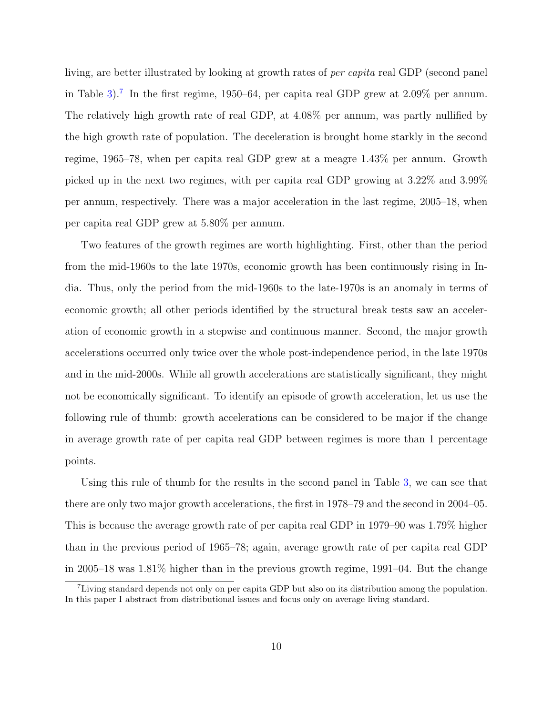living, are better illustrated by looking at growth rates of per capita real GDP (second panel in Table [3\)](#page-31-0).<sup>[7](#page-10-0)</sup> In the first regime, 1950–64, per capita real GDP grew at  $2.09\%$  per annum. The relatively high growth rate of real GDP, at 4.08% per annum, was partly nullified by the high growth rate of population. The deceleration is brought home starkly in the second regime, 1965–78, when per capita real GDP grew at a meagre 1.43% per annum. Growth picked up in the next two regimes, with per capita real GDP growing at 3.22% and 3.99% per annum, respectively. There was a major acceleration in the last regime, 2005–18, when per capita real GDP grew at 5.80% per annum.

Two features of the growth regimes are worth highlighting. First, other than the period from the mid-1960s to the late 1970s, economic growth has been continuously rising in India. Thus, only the period from the mid-1960s to the late-1970s is an anomaly in terms of economic growth; all other periods identified by the structural break tests saw an acceleration of economic growth in a stepwise and continuous manner. Second, the major growth accelerations occurred only twice over the whole post-independence period, in the late 1970s and in the mid-2000s. While all growth accelerations are statistically significant, they might not be economically significant. To identify an episode of growth acceleration, let us use the following rule of thumb: growth accelerations can be considered to be major if the change in average growth rate of per capita real GDP between regimes is more than 1 percentage points.

Using this rule of thumb for the results in the second panel in Table [3,](#page-31-0) we can see that there are only two major growth accelerations, the first in 1978–79 and the second in 2004–05. This is because the average growth rate of per capita real GDP in 1979–90 was 1.79% higher than in the previous period of 1965–78; again, average growth rate of per capita real GDP in 2005–18 was 1.81% higher than in the previous growth regime, 1991–04. But the change

<span id="page-10-0"></span><sup>7</sup>Living standard depends not only on per capita GDP but also on its distribution among the population. In this paper I abstract from distributional issues and focus only on average living standard.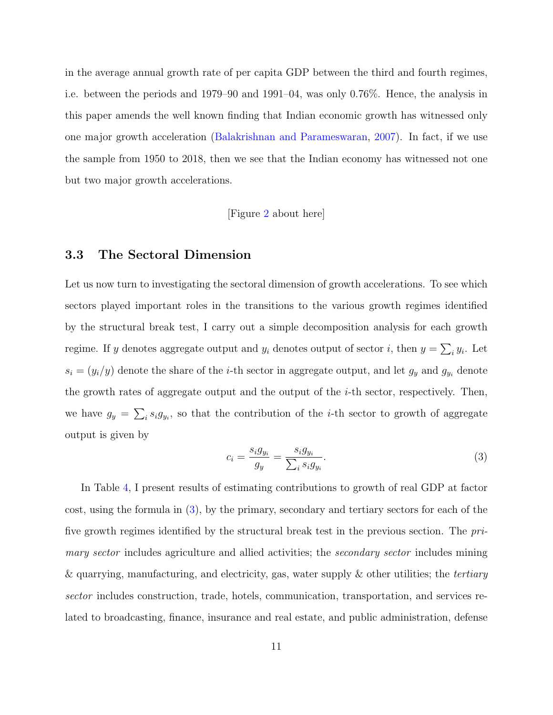in the average annual growth rate of per capita GDP between the third and fourth regimes, i.e. between the periods and 1979–90 and 1991–04, was only 0.76%. Hence, the analysis in this paper amends the well known finding that Indian economic growth has witnessed only one major growth acceleration [\(Balakrishnan and Parameswaran,](#page-25-1) [2007\)](#page-25-1). In fact, if we use the sample from 1950 to 2018, then we see that the Indian economy has witnessed not one but two major growth accelerations.

[Figure [2](#page-38-0) about here]

# <span id="page-11-1"></span>3.3 The Sectoral Dimension

Let us now turn to investigating the sectoral dimension of growth accelerations. To see which sectors played important roles in the transitions to the various growth regimes identified by the structural break test, I carry out a simple decomposition analysis for each growth regime. If y denotes aggregate output and  $y_i$  denotes output of sector i, then  $y = \sum_i y_i$ . Let  $s_i = (y_i/y)$  denote the share of the *i*-th sector in aggregate output, and let  $g_y$  and  $g_{y_i}$  denote the growth rates of aggregate output and the output of the  $i$ -th sector, respectively. Then, we have  $g_y = \sum_i s_i g_{y_i}$ , so that the contribution of the *i*-th sector to growth of aggregate output is given by

<span id="page-11-0"></span>
$$
c_i = \frac{s_i g_{y_i}}{g_y} = \frac{s_i g_{y_i}}{\sum_i s_i g_{y_i}}.\tag{3}
$$

In Table [4,](#page-32-0) I present results of estimating contributions to growth of real GDP at factor cost, using the formula in [\(3\)](#page-11-0), by the primary, secondary and tertiary sectors for each of the five growth regimes identified by the structural break test in the previous section. The primary sector includes agriculture and allied activities; the *secondary sector* includes mining & quarrying, manufacturing, and electricity, gas, water supply & other utilities; the *tertiary* sector includes construction, trade, hotels, communication, transportation, and services related to broadcasting, finance, insurance and real estate, and public administration, defense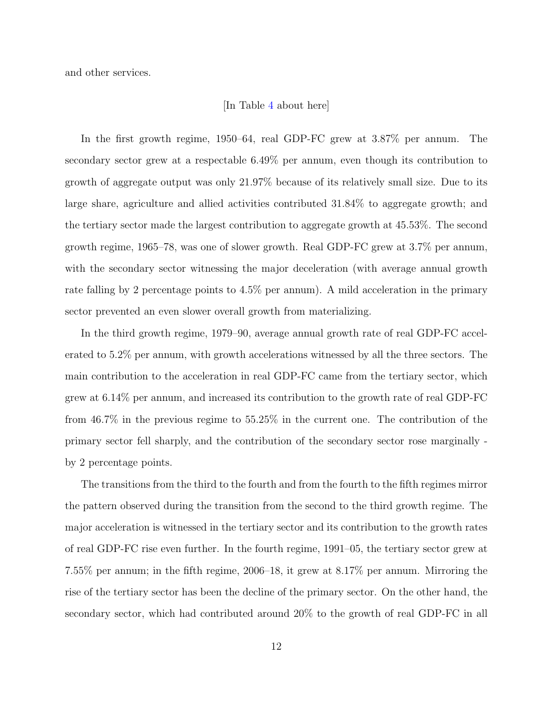and other services.

#### [In Table [4](#page-32-0) about here]

In the first growth regime, 1950–64, real GDP-FC grew at 3.87% per annum. The secondary sector grew at a respectable 6.49% per annum, even though its contribution to growth of aggregate output was only 21.97% because of its relatively small size. Due to its large share, agriculture and allied activities contributed 31.84% to aggregate growth; and the tertiary sector made the largest contribution to aggregate growth at 45.53%. The second growth regime, 1965–78, was one of slower growth. Real GDP-FC grew at 3.7% per annum, with the secondary sector witnessing the major deceleration (with average annual growth rate falling by 2 percentage points to 4.5% per annum). A mild acceleration in the primary sector prevented an even slower overall growth from materializing.

In the third growth regime, 1979–90, average annual growth rate of real GDP-FC accelerated to 5.2% per annum, with growth accelerations witnessed by all the three sectors. The main contribution to the acceleration in real GDP-FC came from the tertiary sector, which grew at 6.14% per annum, and increased its contribution to the growth rate of real GDP-FC from 46.7% in the previous regime to 55.25% in the current one. The contribution of the primary sector fell sharply, and the contribution of the secondary sector rose marginally by 2 percentage points.

The transitions from the third to the fourth and from the fourth to the fifth regimes mirror the pattern observed during the transition from the second to the third growth regime. The major acceleration is witnessed in the tertiary sector and its contribution to the growth rates of real GDP-FC rise even further. In the fourth regime, 1991–05, the tertiary sector grew at 7.55% per annum; in the fifth regime, 2006–18, it grew at 8.17% per annum. Mirroring the rise of the tertiary sector has been the decline of the primary sector. On the other hand, the secondary sector, which had contributed around 20% to the growth of real GDP-FC in all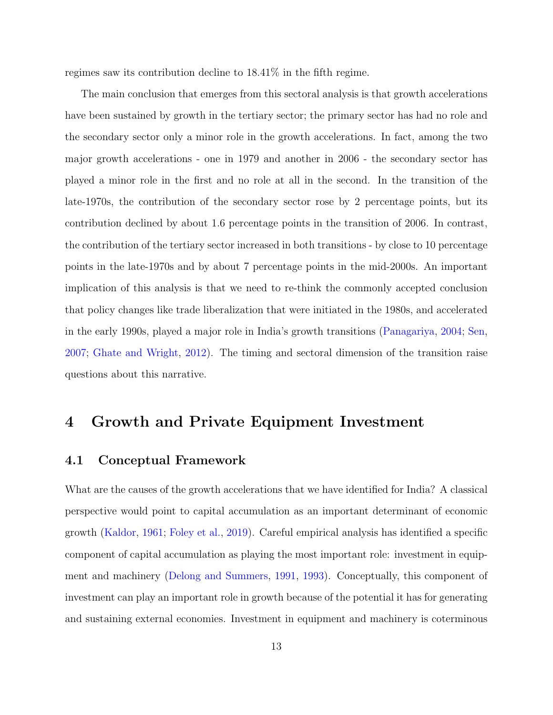regimes saw its contribution decline to 18.41% in the fifth regime.

The main conclusion that emerges from this sectoral analysis is that growth accelerations have been sustained by growth in the tertiary sector; the primary sector has had no role and the secondary sector only a minor role in the growth accelerations. In fact, among the two major growth accelerations - one in 1979 and another in 2006 - the secondary sector has played a minor role in the first and no role at all in the second. In the transition of the late-1970s, the contribution of the secondary sector rose by 2 percentage points, but its contribution declined by about 1.6 percentage points in the transition of 2006. In contrast, the contribution of the tertiary sector increased in both transitions - by close to 10 percentage points in the late-1970s and by about 7 percentage points in the mid-2000s. An important implication of this analysis is that we need to re-think the commonly accepted conclusion that policy changes like trade liberalization that were initiated in the 1980s, and accelerated in the early 1990s, played a major role in India's growth transitions [\(Panagariya,](#page-27-3) [2004;](#page-27-3) [Sen,](#page-28-1) [2007;](#page-28-1) [Ghate and Wright,](#page-26-0) [2012\)](#page-26-0). The timing and sectoral dimension of the transition raise questions about this narrative.

# <span id="page-13-0"></span>4 Growth and Private Equipment Investment

# 4.1 Conceptual Framework

What are the causes of the growth accelerations that we have identified for India? A classical perspective would point to capital accumulation as an important determinant of economic growth [\(Kaldor,](#page-26-5) [1961;](#page-26-5) [Foley et al.,](#page-26-6) [2019\)](#page-26-6). Careful empirical analysis has identified a specific component of capital accumulation as playing the most important role: investment in equipment and machinery [\(Delong and Summers,](#page-26-7) [1991,](#page-26-7) [1993\)](#page-26-8). Conceptually, this component of investment can play an important role in growth because of the potential it has for generating and sustaining external economies. Investment in equipment and machinery is coterminous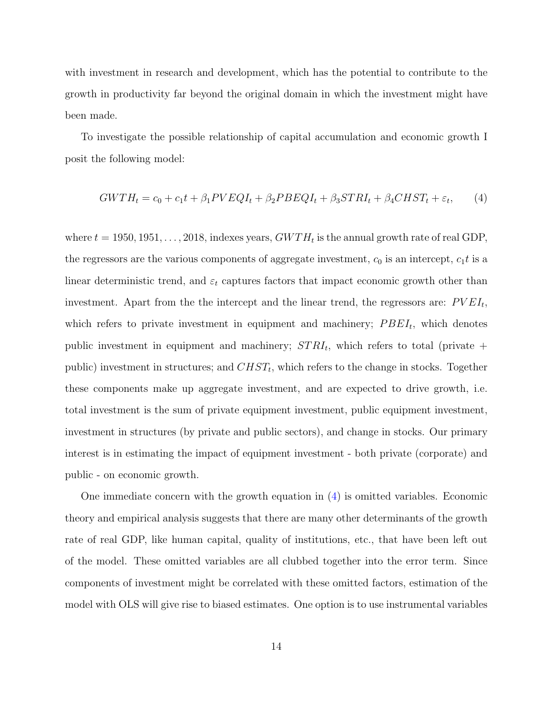with investment in research and development, which has the potential to contribute to the growth in productivity far beyond the original domain in which the investment might have been made.

To investigate the possible relationship of capital accumulation and economic growth I posit the following model:

<span id="page-14-0"></span>
$$
GWTH_t = c_0 + c_1t + \beta_1 PVEQI_t + \beta_2 PBEQI_t + \beta_3 STRI_t + \beta_4 CHST_t + \varepsilon_t,
$$
 (4)

where  $t = 1950, 1951, \ldots, 2018$ , indexes years,  $GWTH_t$  is the annual growth rate of real GDP, the regressors are the various components of aggregate investment,  $c_0$  is an intercept,  $c_1 t$  is a linear deterministic trend, and  $\varepsilon_t$  captures factors that impact economic growth other than investment. Apart from the the intercept and the linear trend, the regressors are:  $PVEI_t$ , which refers to private investment in equipment and machinery;  $PBEI_t$ , which denotes public investment in equipment and machinery;  $STRI_t$ , which refers to total (private  $+$ public) investment in structures; and  $CHST_t$ , which refers to the change in stocks. Together these components make up aggregate investment, and are expected to drive growth, i.e. total investment is the sum of private equipment investment, public equipment investment, investment in structures (by private and public sectors), and change in stocks. Our primary interest is in estimating the impact of equipment investment - both private (corporate) and public - on economic growth.

One immediate concern with the growth equation in [\(4\)](#page-14-0) is omitted variables. Economic theory and empirical analysis suggests that there are many other determinants of the growth rate of real GDP, like human capital, quality of institutions, etc., that have been left out of the model. These omitted variables are all clubbed together into the error term. Since components of investment might be correlated with these omitted factors, estimation of the model with OLS will give rise to biased estimates. One option is to use instrumental variables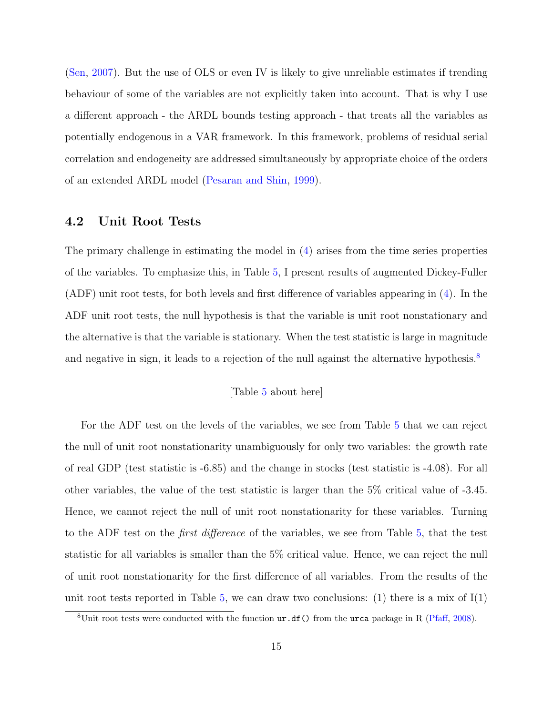[\(Sen,](#page-28-1) [2007\)](#page-28-1). But the use of OLS or even IV is likely to give unreliable estimates if trending behaviour of some of the variables are not explicitly taken into account. That is why I use a different approach - the ARDL bounds testing approach - that treats all the variables as potentially endogenous in a VAR framework. In this framework, problems of residual serial correlation and endogeneity are addressed simultaneously by appropriate choice of the orders of an extended ARDL model [\(Pesaran and Shin,](#page-27-5) [1999\)](#page-27-5).

# 4.2 Unit Root Tests

The primary challenge in estimating the model in [\(4\)](#page-14-0) arises from the time series properties of the variables. To emphasize this, in Table [5,](#page-33-0) I present results of augmented Dickey-Fuller (ADF) unit root tests, for both levels and first difference of variables appearing in [\(4\)](#page-14-0). In the ADF unit root tests, the null hypothesis is that the variable is unit root nonstationary and the alternative is that the variable is stationary. When the test statistic is large in magnitude and negative in sign, it leads to a rejection of the null against the alternative hypothesis.<sup>[8](#page-15-0)</sup>

## [Table [5](#page-33-0) about here]

For the ADF test on the levels of the variables, we see from Table [5](#page-33-0) that we can reject the null of unit root nonstationarity unambiguously for only two variables: the growth rate of real GDP (test statistic is -6.85) and the change in stocks (test statistic is -4.08). For all other variables, the value of the test statistic is larger than the 5% critical value of -3.45. Hence, we cannot reject the null of unit root nonstationarity for these variables. Turning to the ADF test on the first difference of the variables, we see from Table [5,](#page-33-0) that the test statistic for all variables is smaller than the 5% critical value. Hence, we can reject the null of unit root nonstationarity for the first difference of all variables. From the results of the unit root tests reported in Table [5,](#page-33-0) we can draw two conclusions: (1) there is a mix of  $I(1)$ 

<span id="page-15-0"></span><sup>&</sup>lt;sup>8</sup>Unit root tests were conducted with the function  $ur.df()$  from the urca package in R [\(Pfaff,](#page-27-6) [2008\)](#page-27-6).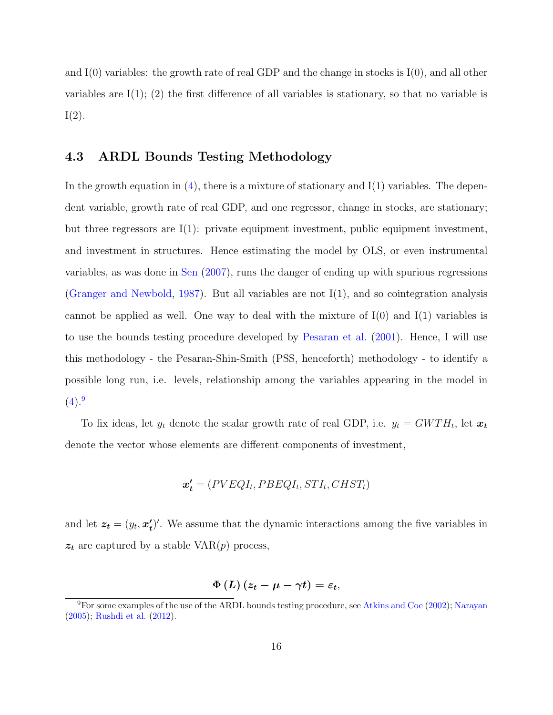and  $I(0)$  variables: the growth rate of real GDP and the change in stocks is  $I(0)$ , and all other variables are  $I(1)$ ; (2) the first difference of all variables is stationary, so that no variable is  $I(2)$ .

## <span id="page-16-1"></span>4.3 ARDL Bounds Testing Methodology

In the growth equation in  $(4)$ , there is a mixture of stationary and  $I(1)$  variables. The dependent variable, growth rate of real GDP, and one regressor, change in stocks, are stationary; but three regressors are I(1): private equipment investment, public equipment investment, and investment in structures. Hence estimating the model by OLS, or even instrumental variables, as was done in [Sen](#page-28-1) [\(2007\)](#page-28-1), runs the danger of ending up with spurious regressions [\(Granger and Newbold,](#page-26-3) [1987\)](#page-26-3). But all variables are not I(1), and so cointegration analysis cannot be applied as well. One way to deal with the mixture of  $I(0)$  and  $I(1)$  variables is to use the bounds testing procedure developed by [Pesaran et al.](#page-27-7) [\(2001\)](#page-27-7). Hence, I will use this methodology - the Pesaran-Shin-Smith (PSS, henceforth) methodology - to identify a possible long run, i.e. levels, relationship among the variables appearing in the model in  $(4).<sup>9</sup>$  $(4).<sup>9</sup>$  $(4).<sup>9</sup>$  $(4).<sup>9</sup>$ 

To fix ideas, let  $y_t$  denote the scalar growth rate of real GDP, i.e.  $y_t = GWTH_t$ , let  $\boldsymbol{x_t}$ denote the vector whose elements are different components of investment,

$$
\boldsymbol{x'_t} = (PVEQI_t, PBEQI_t, STI_t, CHST_t)
$$

and let  $z_t = (y_t, x_t)$  $\mathcal{L}_t'$ . We assume that the dynamic interactions among the five variables in  $z_t$  are captured by a stable VAR $(p)$  process,

$$
\Phi\left(L\right)\left(z_{t}-\mu-\gamma t\right)=\varepsilon_{t},
$$

<span id="page-16-0"></span><sup>&</sup>lt;sup>9</sup>For some examples of the use of the ARDL bounds testing procedure, see [Atkins and Coe](#page-25-5) [\(2002\)](#page-25-5); [Narayan](#page-27-8) [\(2005\)](#page-27-8); [Rushdi et al.](#page-27-9) [\(2012\)](#page-27-9).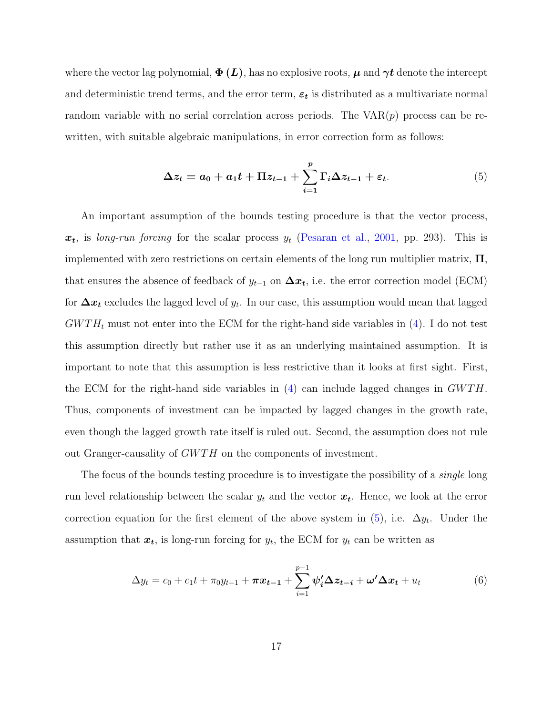where the vector lag polynomial,  $\Phi(L)$ , has no explosive roots,  $\mu$  and  $\gamma t$  denote the intercept and deterministic trend terms, and the error term,  $\varepsilon_t$  is distributed as a multivariate normal random variable with no serial correlation across periods. The  $VAR(p)$  process can be rewritten, with suitable algebraic manipulations, in error correction form as follows:

<span id="page-17-0"></span>
$$
\Delta z_t = a_0 + a_1 t + \Pi z_{t-1} + \sum_{i=1}^p \Gamma_i \Delta z_{t-1} + \varepsilon_t.
$$
\n
$$
(5)
$$

An important assumption of the bounds testing procedure is that the vector process,  $x_t$ , is long-run forcing for the scalar process  $y_t$  [\(Pesaran et al.,](#page-27-7) [2001,](#page-27-7) pp. 293). This is implemented with zero restrictions on certain elements of the long run multiplier matrix,  $\Pi$ . that ensures the absence of feedback of  $y_{t-1}$  on  $\Delta x_t$ , i.e. the error correction model (ECM) for  $\Delta x_t$  excludes the lagged level of  $y_t$ . In our case, this assumption would mean that lagged  $GWTH_t$  must not enter into the ECM for the right-hand side variables in [\(4\)](#page-14-0). I do not test this assumption directly but rather use it as an underlying maintained assumption. It is important to note that this assumption is less restrictive than it looks at first sight. First, the ECM for the right-hand side variables in  $(4)$  can include lagged changes in  $GWTH$ . Thus, components of investment can be impacted by lagged changes in the growth rate, even though the lagged growth rate itself is ruled out. Second, the assumption does not rule out Granger-causality of GWTH on the components of investment.

The focus of the bounds testing procedure is to investigate the possibility of a *single* long run level relationship between the scalar  $y_t$  and the vector  $\boldsymbol{x_t}$ . Hence, we look at the error correction equation for the first element of the above system in  $(5)$ , i.e.  $\Delta y_t$ . Under the assumption that  $x_t$ , is long-run forcing for  $y_t$ , the ECM for  $y_t$  can be written as

<span id="page-17-1"></span>
$$
\Delta y_t = c_0 + c_1 t + \pi_0 y_{t-1} + \boldsymbol{\pi} x_{t-1} + \sum_{i=1}^{p-1} \boldsymbol{\psi}_i' \boldsymbol{\Delta} z_{t-i} + \boldsymbol{\omega}' \boldsymbol{\Delta} x_t + u_t
$$
(6)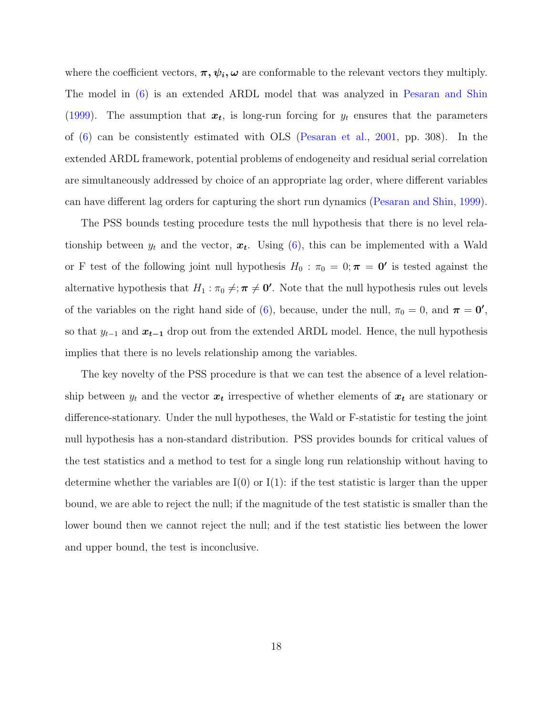where the coefficient vectors,  $\pi, \psi_i, \omega$  are conformable to the relevant vectors they multiply. The model in [\(6\)](#page-17-1) is an extended ARDL model that was analyzed in [Pesaran and Shin](#page-27-5) [\(1999\)](#page-27-5). The assumption that  $x_t$ , is long-run forcing for  $y_t$  ensures that the parameters of [\(6\)](#page-17-1) can be consistently estimated with OLS [\(Pesaran et al.,](#page-27-7) [2001,](#page-27-7) pp. 308). In the extended ARDL framework, potential problems of endogeneity and residual serial correlation are simultaneously addressed by choice of an appropriate lag order, where different variables can have different lag orders for capturing the short run dynamics [\(Pesaran and Shin,](#page-27-5) [1999\)](#page-27-5).

The PSS bounds testing procedure tests the null hypothesis that there is no level relationship between  $y_t$  and the vector,  $x_t$ . Using [\(6\)](#page-17-1), this can be implemented with a Wald or F test of the following joint null hypothesis  $H_0$ :  $\pi_0 = 0; \pi = 0'$  is tested against the alternative hypothesis that  $H_1: \pi_0 \neq; \pi \neq 0'$ . Note that the null hypothesis rules out levels of the variables on the right hand side of [\(6\)](#page-17-1), because, under the null,  $\pi_0 = 0$ , and  $\pi = 0'$ , so that  $y_{t-1}$  and  $x_{t-1}$  drop out from the extended ARDL model. Hence, the null hypothesis implies that there is no levels relationship among the variables.

The key novelty of the PSS procedure is that we can test the absence of a level relationship between  $y_t$  and the vector  $x_t$  irrespective of whether elements of  $x_t$  are stationary or difference-stationary. Under the null hypotheses, the Wald or F-statistic for testing the joint null hypothesis has a non-standard distribution. PSS provides bounds for critical values of the test statistics and a method to test for a single long run relationship without having to determine whether the variables are  $I(0)$  or  $I(1)$ : if the test statistic is larger than the upper bound, we are able to reject the null; if the magnitude of the test statistic is smaller than the lower bound then we cannot reject the null; and if the test statistic lies between the lower and upper bound, the test is inconclusive.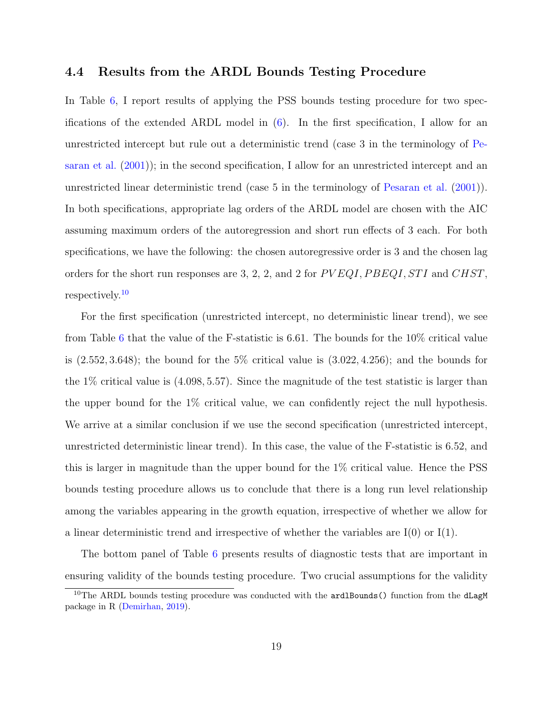## 4.4 Results from the ARDL Bounds Testing Procedure

In Table [6,](#page-34-0) I report results of applying the PSS bounds testing procedure for two specifications of the extended ARDL model in  $(6)$ . In the first specification, I allow for an unrestricted intercept but rule out a deterministic trend (case 3 in the terminology of [Pe](#page-27-7)[saran et al.](#page-27-7) [\(2001\)](#page-27-7)); in the second specification, I allow for an unrestricted intercept and an unrestricted linear deterministic trend (case 5 in the terminology of [Pesaran et al.](#page-27-7) [\(2001\)](#page-27-7)). In both specifications, appropriate lag orders of the ARDL model are chosen with the AIC assuming maximum orders of the autoregression and short run effects of 3 each. For both specifications, we have the following: the chosen autoregressive order is 3 and the chosen lag orders for the short run responses are 3, 2, 2, and 2 for  $PVEQI, PBEQI, STI$  and  $CHST$ , respectively.[10](#page-19-0)

For the first specification (unrestricted intercept, no deterministic linear trend), we see from Table [6](#page-34-0) that the value of the F-statistic is 6.61. The bounds for the 10% critical value is  $(2.552, 3.648)$ ; the bound for the 5% critical value is  $(3.022, 4.256)$ ; and the bounds for the 1% critical value is (4.098, 5.57). Since the magnitude of the test statistic is larger than the upper bound for the 1% critical value, we can confidently reject the null hypothesis. We arrive at a similar conclusion if we use the second specification (unrestricted intercept, unrestricted deterministic linear trend). In this case, the value of the F-statistic is 6.52, and this is larger in magnitude than the upper bound for the 1% critical value. Hence the PSS bounds testing procedure allows us to conclude that there is a long run level relationship among the variables appearing in the growth equation, irrespective of whether we allow for a linear deterministic trend and irrespective of whether the variables are  $I(0)$  or  $I(1)$ .

The bottom panel of Table [6](#page-34-0) presents results of diagnostic tests that are important in ensuring validity of the bounds testing procedure. Two crucial assumptions for the validity

<span id="page-19-0"></span> $10$ The ARDL bounds testing procedure was conducted with the ardlBounds () function from the dLagM package in R [\(Demirhan,](#page-26-9) [2019\)](#page-26-9).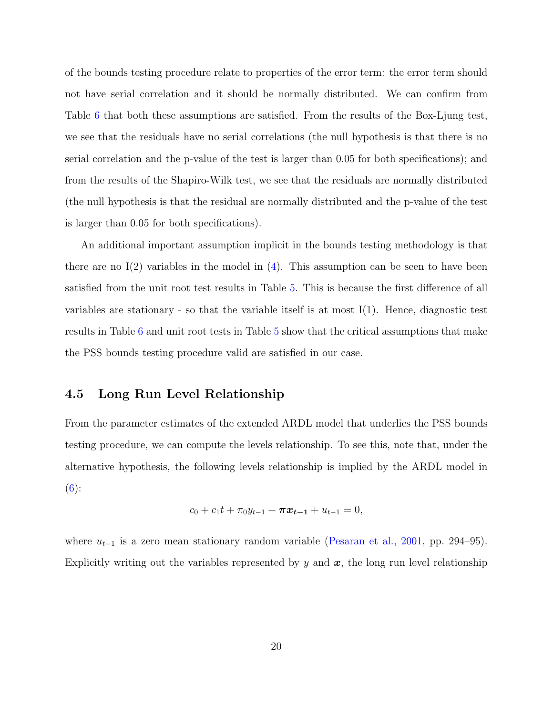of the bounds testing procedure relate to properties of the error term: the error term should not have serial correlation and it should be normally distributed. We can confirm from Table [6](#page-34-0) that both these assumptions are satisfied. From the results of the Box-Ljung test, we see that the residuals have no serial correlations (the null hypothesis is that there is no serial correlation and the p-value of the test is larger than 0.05 for both specifications); and from the results of the Shapiro-Wilk test, we see that the residuals are normally distributed (the null hypothesis is that the residual are normally distributed and the p-value of the test is larger than 0.05 for both specifications).

An additional important assumption implicit in the bounds testing methodology is that there are no  $I(2)$  variables in the model in  $(4)$ . This assumption can be seen to have been satisfied from the unit root test results in Table [5.](#page-33-0) This is because the first difference of all variables are stationary - so that the variable itself is at most  $I(1)$ . Hence, diagnostic test results in Table [6](#page-34-0) and unit root tests in Table [5](#page-33-0) show that the critical assumptions that make the PSS bounds testing procedure valid are satisfied in our case.

# 4.5 Long Run Level Relationship

From the parameter estimates of the extended ARDL model that underlies the PSS bounds testing procedure, we can compute the levels relationship. To see this, note that, under the alternative hypothesis, the following levels relationship is implied by the ARDL model in  $(6)$ :

$$
c_0 + c_1 t + \pi_0 y_{t-1} + \pi x_{t-1} + u_{t-1} = 0,
$$

where  $u_{t-1}$  is a zero mean stationary random variable [\(Pesaran et al.,](#page-27-7) [2001,](#page-27-7) pp. 294–95). Explicitly writing out the variables represented by y and  $x$ , the long run level relationship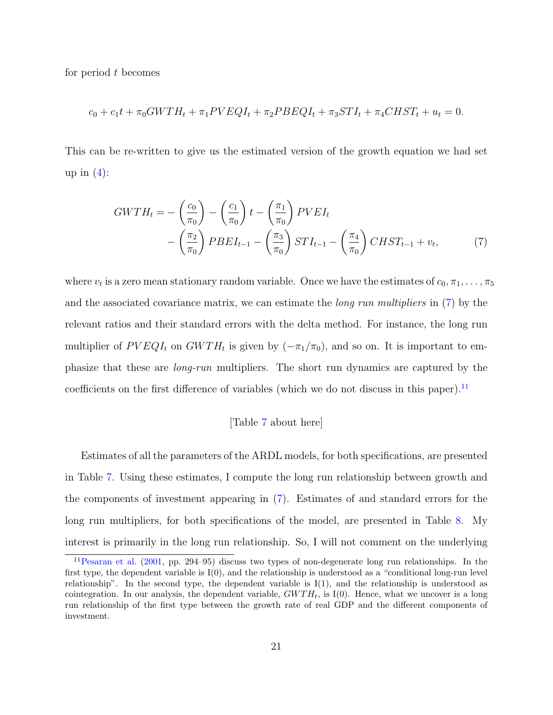for period t becomes

$$
c_0 + c_1 t + \pi_0 GWTH_t + \pi_1 PVEQI_t + \pi_2 PBEQI_t + \pi_3 STI_t + \pi_4 CHST_t + u_t = 0.
$$

This can be re-written to give us the estimated version of the growth equation we had set up in  $(4)$ :

$$
GWTH_t = -\left(\frac{c_0}{\pi_0}\right) - \left(\frac{c_1}{\pi_0}\right)t - \left(\frac{\pi_1}{\pi_0}\right) PVEI_t
$$

$$
-\left(\frac{\pi_2}{\pi_0}\right) PBEI_{t-1} - \left(\frac{\pi_3}{\pi_0}\right) STI_{t-1} - \left(\frac{\pi_4}{\pi_0}\right) CHST_{t-1} + v_t, \tag{7}
$$

where  $v_t$  is a zero mean stationary random variable. Once we have the estimates of  $c_0, \pi_1, \ldots, \pi_5$ and the associated covariance matrix, we can estimate the long run multipliers in [\(7\)](#page-21-0) by the relevant ratios and their standard errors with the delta method. For instance, the long run multiplier of  $PVEQI_t$  on  $GWTH_t$  is given by  $(-\pi_1/\pi_0)$ , and so on. It is important to emphasize that these are long-run multipliers. The short run dynamics are captured by the coefficients on the first difference of variables (which we do not discuss in this paper).<sup>[11](#page-21-1)</sup>

## <span id="page-21-0"></span>[Table [7](#page-35-0) about here]

Estimates of all the parameters of the ARDL models, for both specifications, are presented in Table [7.](#page-35-0) Using these estimates, I compute the long run relationship between growth and the components of investment appearing in [\(7\)](#page-21-0). Estimates of and standard errors for the long run multipliers, for both specifications of the model, are presented in Table [8.](#page-36-0) My interest is primarily in the long run relationship. So, I will not comment on the underlying

<span id="page-21-1"></span><sup>11</sup>[Pesaran et al.](#page-27-7) [\(2001,](#page-27-7) pp. 294–95) discuss two types of non-degenerate long run relationships. In the first type, the dependent variable is I(0), and the relationship is understood as a "conditional long-run level relationship". In the second type, the dependent variable is  $I(1)$ , and the relationship is understood as cointegration. In our analysis, the dependent variable,  $GWTH_t$ , is I(0). Hence, what we uncover is a long run relationship of the first type between the growth rate of real GDP and the different components of investment.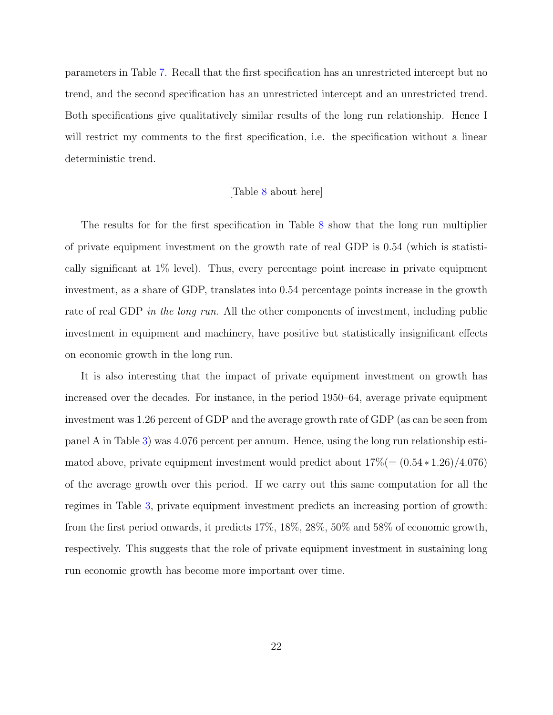parameters in Table [7.](#page-35-0) Recall that the first specification has an unrestricted intercept but no trend, and the second specification has an unrestricted intercept and an unrestricted trend. Both specifications give qualitatively similar results of the long run relationship. Hence I will restrict my comments to the first specification, i.e. the specification without a linear deterministic trend.

#### [Table [8](#page-36-0) about here]

The results for for the first specification in Table [8](#page-36-0) show that the long run multiplier of private equipment investment on the growth rate of real GDP is 0.54 (which is statistically significant at 1% level). Thus, every percentage point increase in private equipment investment, as a share of GDP, translates into 0.54 percentage points increase in the growth rate of real GDP in the long run. All the other components of investment, including public investment in equipment and machinery, have positive but statistically insignificant effects on economic growth in the long run.

It is also interesting that the impact of private equipment investment on growth has increased over the decades. For instance, in the period 1950–64, average private equipment investment was 1.26 percent of GDP and the average growth rate of GDP (as can be seen from panel A in Table [3\)](#page-31-0) was 4.076 percent per annum. Hence, using the long run relationship estimated above, private equipment investment would predict about  $17\% (= (0.54 * 1.26)/4.076)$ of the average growth over this period. If we carry out this same computation for all the regimes in Table [3,](#page-31-0) private equipment investment predicts an increasing portion of growth: from the first period onwards, it predicts 17%, 18%, 28%, 50% and 58% of economic growth, respectively. This suggests that the role of private equipment investment in sustaining long run economic growth has become more important over time.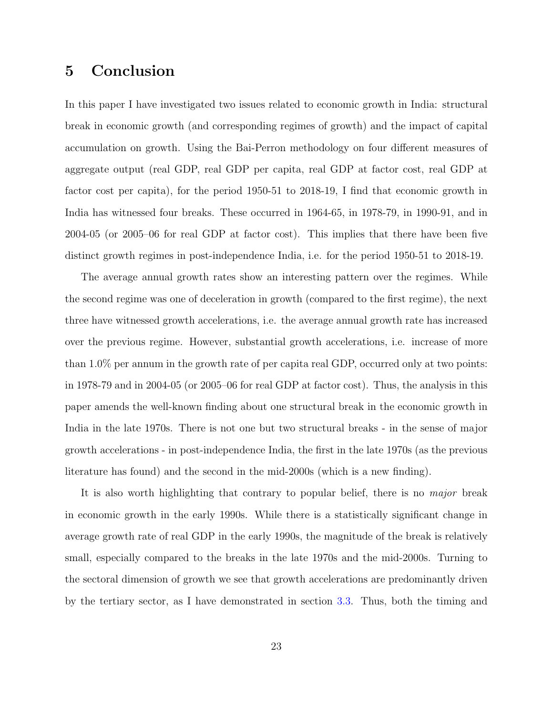# <span id="page-23-0"></span>5 Conclusion

In this paper I have investigated two issues related to economic growth in India: structural break in economic growth (and corresponding regimes of growth) and the impact of capital accumulation on growth. Using the Bai-Perron methodology on four different measures of aggregate output (real GDP, real GDP per capita, real GDP at factor cost, real GDP at factor cost per capita), for the period 1950-51 to 2018-19, I find that economic growth in India has witnessed four breaks. These occurred in 1964-65, in 1978-79, in 1990-91, and in 2004-05 (or 2005–06 for real GDP at factor cost). This implies that there have been five distinct growth regimes in post-independence India, i.e. for the period 1950-51 to 2018-19.

The average annual growth rates show an interesting pattern over the regimes. While the second regime was one of deceleration in growth (compared to the first regime), the next three have witnessed growth accelerations, i.e. the average annual growth rate has increased over the previous regime. However, substantial growth accelerations, i.e. increase of more than 1.0% per annum in the growth rate of per capita real GDP, occurred only at two points: in 1978-79 and in 2004-05 (or 2005–06 for real GDP at factor cost). Thus, the analysis in this paper amends the well-known finding about one structural break in the economic growth in India in the late 1970s. There is not one but two structural breaks - in the sense of major growth accelerations - in post-independence India, the first in the late 1970s (as the previous literature has found) and the second in the mid-2000s (which is a new finding).

It is also worth highlighting that contrary to popular belief, there is no major break in economic growth in the early 1990s. While there is a statistically significant change in average growth rate of real GDP in the early 1990s, the magnitude of the break is relatively small, especially compared to the breaks in the late 1970s and the mid-2000s. Turning to the sectoral dimension of growth we see that growth accelerations are predominantly driven by the tertiary sector, as I have demonstrated in section [3.3.](#page-11-1) Thus, both the timing and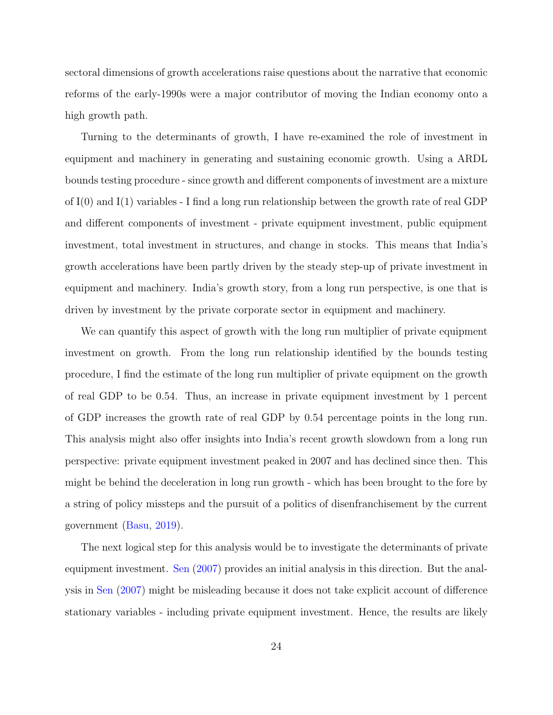sectoral dimensions of growth accelerations raise questions about the narrative that economic reforms of the early-1990s were a major contributor of moving the Indian economy onto a high growth path.

Turning to the determinants of growth, I have re-examined the role of investment in equipment and machinery in generating and sustaining economic growth. Using a ARDL bounds testing procedure - since growth and different components of investment are a mixture of I(0) and I(1) variables - I find a long run relationship between the growth rate of real GDP and different components of investment - private equipment investment, public equipment investment, total investment in structures, and change in stocks. This means that India's growth accelerations have been partly driven by the steady step-up of private investment in equipment and machinery. India's growth story, from a long run perspective, is one that is driven by investment by the private corporate sector in equipment and machinery.

We can quantify this aspect of growth with the long run multiplier of private equipment investment on growth. From the long run relationship identified by the bounds testing procedure, I find the estimate of the long run multiplier of private equipment on the growth of real GDP to be 0.54. Thus, an increase in private equipment investment by 1 percent of GDP increases the growth rate of real GDP by 0.54 percentage points in the long run. This analysis might also offer insights into India's recent growth slowdown from a long run perspective: private equipment investment peaked in 2007 and has declined since then. This might be behind the deceleration in long run growth - which has been brought to the fore by a string of policy missteps and the pursuit of a politics of disenfranchisement by the current government [\(Basu,](#page-25-6) [2019\)](#page-25-6).

The next logical step for this analysis would be to investigate the determinants of private equipment investment. [Sen](#page-28-1) [\(2007\)](#page-28-1) provides an initial analysis in this direction. But the analysis in [Sen](#page-28-1) [\(2007\)](#page-28-1) might be misleading because it does not take explicit account of difference stationary variables - including private equipment investment. Hence, the results are likely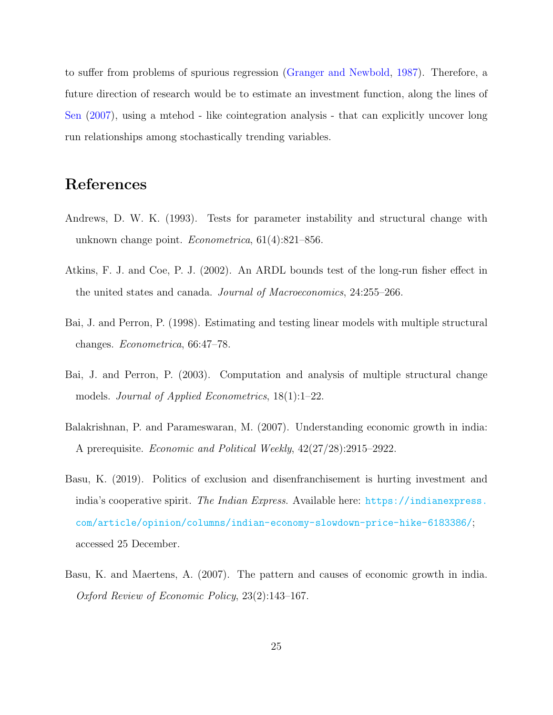to suffer from problems of spurious regression [\(Granger and Newbold,](#page-26-3) [1987\)](#page-26-3). Therefore, a future direction of research would be to estimate an investment function, along the lines of [Sen](#page-28-1) [\(2007\)](#page-28-1), using a mtehod - like cointegration analysis - that can explicitly uncover long run relationships among stochastically trending variables.

# References

- <span id="page-25-2"></span>Andrews, D. W. K. (1993). Tests for parameter instability and structural change with unknown change point. Econometrica, 61(4):821–856.
- <span id="page-25-5"></span>Atkins, F. J. and Coe, P. J. (2002). An ARDL bounds test of the long-run fisher effect in the united states and canada. Journal of Macroeconomics, 24:255–266.
- <span id="page-25-3"></span>Bai, J. and Perron, P. (1998). Estimating and testing linear models with multiple structural changes. Econometrica, 66:47–78.
- <span id="page-25-4"></span>Bai, J. and Perron, P. (2003). Computation and analysis of multiple structural change models. Journal of Applied Econometrics, 18(1):1–22.
- <span id="page-25-1"></span>Balakrishnan, P. and Parameswaran, M. (2007). Understanding economic growth in india: A prerequisite. Economic and Political Weekly, 42(27/28):2915–2922.
- <span id="page-25-6"></span>Basu, K. (2019). Politics of exclusion and disenfranchisement is hurting investment and india's cooperative spirit. The Indian Express. Available here: [https://indianexpress.](https://indianexpress.com/article/opinion/columns/indian-economy-slowdown-price-hike-6183386/) [com/article/opinion/columns/indian-economy-slowdown-price-hike-6183386/](https://indianexpress.com/article/opinion/columns/indian-economy-slowdown-price-hike-6183386/); accessed 25 December.
- <span id="page-25-0"></span>Basu, K. and Maertens, A. (2007). The pattern and causes of economic growth in india. Oxford Review of Economic Policy, 23(2):143–167.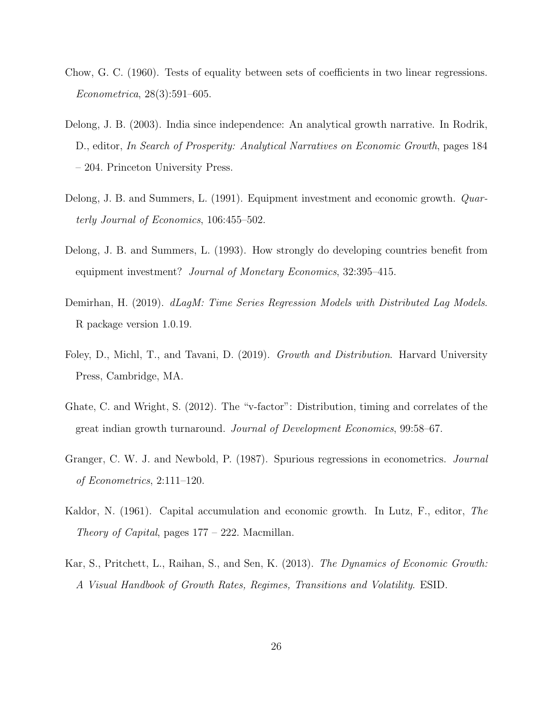- <span id="page-26-4"></span>Chow, G. C. (1960). Tests of equality between sets of coefficients in two linear regressions. Econometrica, 28(3):591–605.
- <span id="page-26-1"></span>Delong, J. B. (2003). India since independence: An analytical growth narrative. In Rodrik, D., editor, In Search of Prosperity: Analytical Narratives on Economic Growth, pages 184 – 204. Princeton University Press.
- <span id="page-26-7"></span>Delong, J. B. and Summers, L. (1991). Equipment investment and economic growth. Quarterly Journal of Economics, 106:455–502.
- <span id="page-26-8"></span>Delong, J. B. and Summers, L. (1993). How strongly do developing countries benefit from equipment investment? Journal of Monetary Economics, 32:395–415.
- <span id="page-26-9"></span>Demirhan, H. (2019). dLagM: Time Series Regression Models with Distributed Lag Models. R package version 1.0.19.
- <span id="page-26-6"></span>Foley, D., Michl, T., and Tavani, D. (2019). Growth and Distribution. Harvard University Press, Cambridge, MA.
- <span id="page-26-0"></span>Ghate, C. and Wright, S. (2012). The "v-factor": Distribution, timing and correlates of the great indian growth turnaround. Journal of Development Economics, 99:58–67.
- <span id="page-26-3"></span>Granger, C. W. J. and Newbold, P. (1987). Spurious regressions in econometrics. Journal of Econometrics, 2:111–120.
- <span id="page-26-5"></span>Kaldor, N. (1961). Capital accumulation and economic growth. In Lutz, F., editor, The Theory of Capital, pages  $177 - 222$ . Macmillan.
- <span id="page-26-2"></span>Kar, S., Pritchett, L., Raihan, S., and Sen, K. (2013). The Dynamics of Economic Growth: A Visual Handbook of Growth Rates, Regimes, Transitions and Volatility. ESID.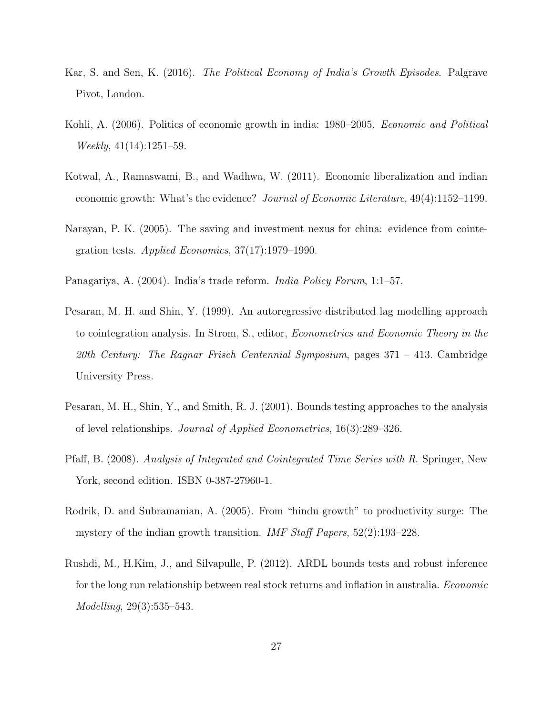- <span id="page-27-2"></span>Kar, S. and Sen, K. (2016). The Political Economy of India's Growth Episodes. Palgrave Pivot, London.
- <span id="page-27-4"></span>Kohli, A. (2006). Politics of economic growth in india: 1980–2005. Economic and Political Weekly, 41(14):1251–59.
- <span id="page-27-1"></span>Kotwal, A., Ramaswami, B., and Wadhwa, W. (2011). Economic liberalization and indian economic growth: What's the evidence? Journal of Economic Literature, 49(4):1152–1199.
- <span id="page-27-8"></span>Narayan, P. K. (2005). The saving and investment nexus for china: evidence from cointegration tests. Applied Economics,  $37(17):1979-1990$ .
- <span id="page-27-3"></span>Panagariya, A. (2004). India's trade reform. India Policy Forum, 1:1–57.
- <span id="page-27-5"></span>Pesaran, M. H. and Shin, Y. (1999). An autoregressive distributed lag modelling approach to cointegration analysis. In Strom, S., editor, Econometrics and Economic Theory in the 20th Century: The Ragnar Frisch Centennial Symposium, pages 371 – 413. Cambridge University Press.
- <span id="page-27-7"></span>Pesaran, M. H., Shin, Y., and Smith, R. J. (2001). Bounds testing approaches to the analysis of level relationships. Journal of Applied Econometrics, 16(3):289–326.
- <span id="page-27-6"></span>Pfaff, B. (2008). Analysis of Integrated and Cointegrated Time Series with R. Springer, New York, second edition. ISBN 0-387-27960-1.
- <span id="page-27-0"></span>Rodrik, D. and Subramanian, A. (2005). From "hindu growth" to productivity surge: The mystery of the indian growth transition. *IMF Staff Papers*, 52(2):193–228.
- <span id="page-27-9"></span>Rushdi, M., H.Kim, J., and Silvapulle, P. (2012). ARDL bounds tests and robust inference for the long run relationship between real stock returns and inflation in australia. Economic Modelling, 29(3):535–543.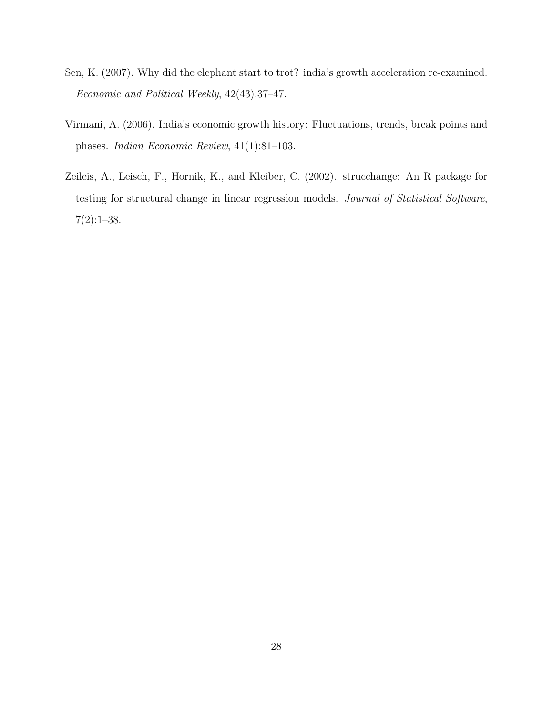- <span id="page-28-1"></span>Sen, K. (2007). Why did the elephant start to trot? india's growth acceleration re-examined. Economic and Political Weekly, 42(43):37–47.
- <span id="page-28-0"></span>Virmani, A. (2006). India's economic growth history: Fluctuations, trends, break points and phases. Indian Economic Review, 41(1):81–103.
- <span id="page-28-2"></span>Zeileis, A., Leisch, F., Hornik, K., and Kleiber, C. (2002). strucchange: An R package for testing for structural change in linear regression models. Journal of Statistical Software,  $7(2):1-38.$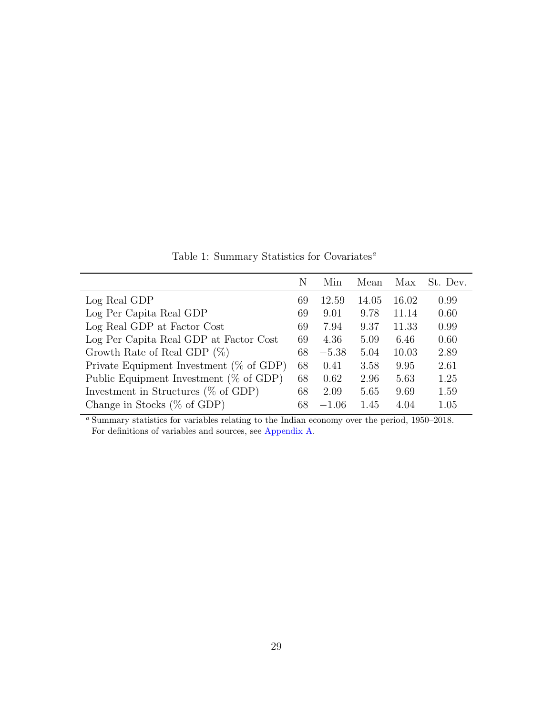Table 1: Summary Statistics for Covariates $\real^a$ 

<span id="page-29-0"></span>

|                                             | N  | Min     | Mean  | Max   | St. Dev. |
|---------------------------------------------|----|---------|-------|-------|----------|
| Log Real GDP                                | 69 | 12.59   | 14.05 | 16.02 | 0.99     |
| Log Per Capita Real GDP                     | 69 | 9.01    | 9.78  | 11.14 | 0.60     |
| Log Real GDP at Factor Cost                 | 69 | 7.94    | 9.37  | 11.33 | 0.99     |
| Log Per Capita Real GDP at Factor Cost      | 69 | 4.36    | 5.09  | 6.46  | 0.60     |
| Growth Rate of Real GDP $(\%)$              | 68 | $-5.38$ | 5.04  | 10.03 | 2.89     |
| Private Equipment Investment ( $\%$ of GDP) | 68 | 0.41    | 3.58  | 9.95  | 2.61     |
| Public Equipment Investment ( $\%$ of GDP)  | 68 | 0.62    | 2.96  | 5.63  | 1.25     |
| Investment in Structures ( $\%$ of GDP)     | 68 | 2.09    | 5.65  | 9.69  | 1.59     |
| Change in Stocks $(\%$ of GDP)              | 68 | $-1.06$ | 1.45  | 4.04  | 1.05     |

<sup>a</sup> Summary statistics for variables relating to the Indian economy over the period, 1950–2018. For definitions of variables and sources, see [Appendix A.](#page-39-0)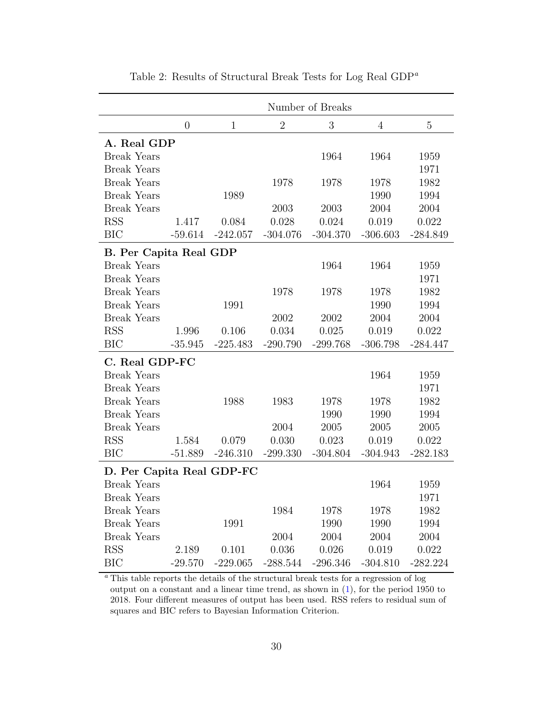<span id="page-30-0"></span>

|                               |                |              |                | Number of Breaks |                |             |
|-------------------------------|----------------|--------------|----------------|------------------|----------------|-------------|
|                               | $\overline{0}$ | $\mathbf{1}$ | $\overline{2}$ | 3                | $\overline{4}$ | $\mathbf 5$ |
| A. Real GDP                   |                |              |                |                  |                |             |
| <b>Break Years</b>            |                |              |                | 1964             | 1964           | 1959        |
| <b>Break Years</b>            |                |              |                |                  |                | 1971        |
| <b>Break Years</b>            |                |              | 1978           | 1978             | 1978           | 1982        |
| <b>Break Years</b>            |                | 1989         |                |                  | 1990           | 1994        |
| <b>Break Years</b>            |                |              | 2003           | 2003             | 2004           | 2004        |
| <b>RSS</b>                    | 1.417          | 0.084        | 0.028          | 0.024            | 0.019          | 0.022       |
| <b>BIC</b>                    | $-59.614$      | $-242.057$   | $-304.076$     | $-304.370$       | $-306.603$     | $-284.849$  |
| <b>B.</b> Per Capita Real GDP |                |              |                |                  |                |             |
| <b>Break Years</b>            |                |              |                | 1964             | 1964           | 1959        |
| <b>Break Years</b>            |                |              |                |                  |                | 1971        |
| <b>Break Years</b>            |                |              | 1978           | 1978             | 1978           | 1982        |
| <b>Break Years</b>            |                | 1991         |                |                  | 1990           | 1994        |
| <b>Break Years</b>            |                |              | 2002           | 2002             | 2004           | 2004        |
| <b>RSS</b>                    | 1.996          | 0.106        | 0.034          | 0.025            | 0.019          | 0.022       |
| <b>BIC</b>                    | $-35.945$      | $-225.483$   | $-290.790$     | $-299.768$       | $-306.798$     | $-284.447$  |
| C. Real GDP-FC                |                |              |                |                  |                |             |
| <b>Break Years</b>            |                |              |                |                  | 1964           | 1959        |
| <b>Break Years</b>            |                |              |                |                  |                | 1971        |
| <b>Break Years</b>            |                | 1988         | 1983           | 1978             | 1978           | 1982        |
| <b>Break Years</b>            |                |              |                | 1990             | 1990           | 1994        |
| <b>Break Years</b>            |                |              | 2004           | 2005             | 2005           | 2005        |
| <b>RSS</b>                    | 1.584          | 0.079        | 0.030          | 0.023            | 0.019          | 0.022       |
| <b>BIC</b>                    | $-51.889$      | $-246.310$   | $-299.330$     | $-304.804$       | $-304.943$     | $-282.183$  |
| D. Per Capita Real GDP-FC     |                |              |                |                  |                |             |
| <b>Break Years</b>            |                |              |                |                  | 1964           | 1959        |
| <b>Break Years</b>            |                |              |                |                  |                | 1971        |
| <b>Break Years</b>            |                |              | 1984           | 1978             | 1978           | 1982        |
| <b>Break Years</b>            |                | 1991         |                | 1990             | 1990           | 1994        |
| <b>Break Years</b>            |                |              | 2004           | 2004             | 2004           | 2004        |
| <b>RSS</b>                    | 2.189          | 0.101        | 0.036          | 0.026            | 0.019          | 0.022       |
| <b>BIC</b>                    | $-29.570$      | $-229.065$   | $-288.544$     | $-296.346$       | $-304.810$     | $-282.224$  |

Table 2: Results of Structural Break Tests for Log Real GDP<sup> $a$ </sup>

 $\,^a$  This table reports the details of the structural break tests for a regression of log output on a constant and a linear time trend, as shown in [\(1\)](#page-7-0), for the period 1950 to 2018. Four different measures of output has been used. RSS refers to residual sum of squares and BIC refers to Bayesian Information Criterion.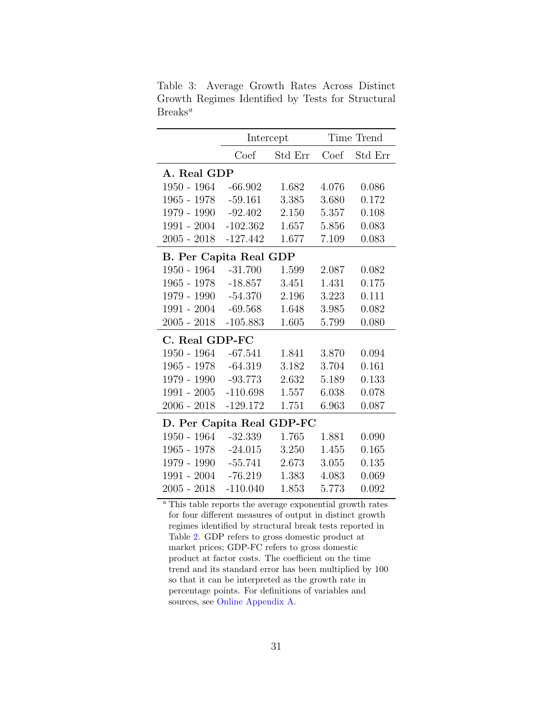<span id="page-31-0"></span>Table 3: Average Growth Rates Across Distinct Growth Regimes Identified by Tests for Structural  $Breaks^a$ 

|                               | Intercept  |         |       | Time Trend |
|-------------------------------|------------|---------|-------|------------|
|                               | Coef       | Std Err | Coef  | Std Err    |
| A. Real GDP                   |            |         |       |            |
| $1950 - 1964 - 66.902$        |            | 1.682   | 4.076 | 0.086      |
| 1965 - 1978                   | $-59.161$  | 3.385   | 3.680 | 0.172      |
| $1979 - 1990 - 92.402$        |            | 2.150   | 5.357 | 0.108      |
| $1991 - 2004$                 | $-102.362$ | 1.657   | 5.856 | 0.083      |
| $2005 - 2018$                 | $-127.442$ | 1.677   | 7.109 | 0.083      |
| <b>B.</b> Per Capita Real GDP |            |         |       |            |
| 1950 - 1964                   | $-31.700$  | 1.599   | 2.087 | 0.082      |
| 1965 - 1978 - 18.857          |            | 3.451   | 1.431 | 0.175      |
| 1979 - 1990 - 54.370          |            | 2.196   | 3.223 | 0.111      |
| $1991 - 2004$                 | $-69.568$  | 1.648   | 3.985 | 0.082      |
| $2005 - 2018$                 | $-105.883$ | 1.605   | 5.799 | 0.080      |
| C. Real GDP-FC                |            |         |       |            |
| 1950 - 1964                   | $-67.541$  | 1.841   | 3.870 | 0.094      |
| 1965 - 1978 - 64.319          |            | 3.182   | 3.704 | 0.161      |
| 1979 - 1990 - 93.773          |            | 2.632   | 5.189 | 0.133      |
| 1991 - 2005 -110.698          |            | 1.557   | 6.038 | 0.078      |
| $2006 - 2018$                 | $-129.172$ | 1.751   | 6.963 | 0.087      |
| D. Per Capita Real GDP-FC     |            |         |       |            |
| $1950 - 1964$                 | $-32.339$  | 1.765   | 1.881 | 0.090      |
| 1965 - 1978                   | $-24.015$  | 3.250   | 1.455 | 0.165      |
| 1979 - 1990                   | -55.741    | 2.673   | 3.055 | 0.135      |
| $1991 - 2004$                 | $-76.219$  | 1.383   | 4.083 | 0.069      |
| $2005 - 2018$                 | $-110.040$ | 1.853   | 5.773 | 0.092      |

This table reports the average exponential growth rates for four different measures of output in distinct growth regimes identified by structural break tests reported in Table [2.](#page-30-0) GDP refers to gross domestic product at market prices; GDP-FC refers to gross domestic product at factor costs. The coefficient on the time trend and its standard error has been multiplied by 100 so that it can be interpreted as the growth rate in percentage points. For definitions of variables and sources, see [Online Appendix A.](#page-39-0)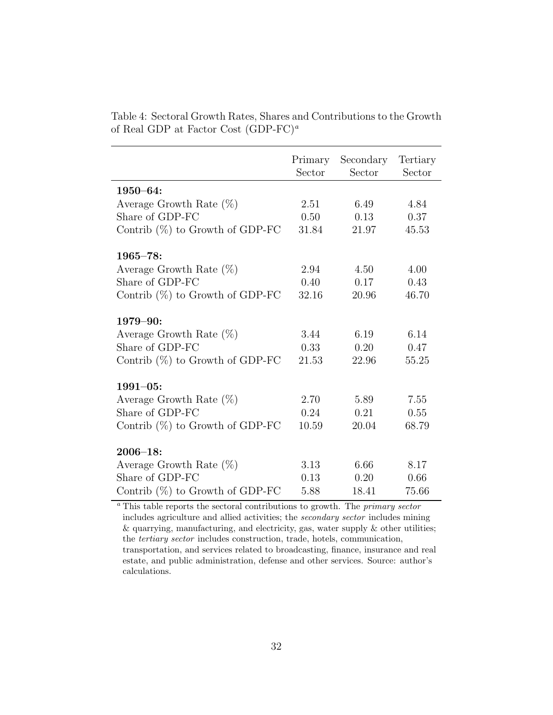|                                    | Primary<br>Sector | Secondary<br>Sector | Tertiary<br>Sector |
|------------------------------------|-------------------|---------------------|--------------------|
| $1950 - 64:$                       |                   |                     |                    |
| Average Growth Rate $(\%)$         | 2.51              | 6.49                | 4.84               |
| Share of GDP-FC                    | 0.50              | 0.13                | 0.37               |
| Contrib $(\%)$ to Growth of GDP-FC | 31.84             | 21.97               | 45.53              |
| $1965 - 78:$                       |                   |                     |                    |
| Average Growth Rate $(\%)$         | 2.94              | 4.50                | 4.00               |
| Share of GDP-FC                    | 0.40              | 0.17                | 0.43               |
| Contrib $(\%)$ to Growth of GDP-FC | 32.16             | 20.96               | 46.70              |
| $1979 - 90:$                       |                   |                     |                    |
| Average Growth Rate $(\%)$         | 3.44              | 6.19                | 6.14               |
| Share of GDP-FC                    | 0.33              | 0.20                | 0.47               |
| Contrib $(\%)$ to Growth of GDP-FC | 21.53             | 22.96               | 55.25              |
| $1991 - 05:$                       |                   |                     |                    |
| Average Growth Rate $(\%)$         | 2.70              | 5.89                | 7.55               |
| Share of GDP-FC                    | 0.24              | 0.21                | 0.55               |
| Contrib $(\%)$ to Growth of GDP-FC | 10.59             | 20.04               | 68.79              |
| $2006 - 18:$                       |                   |                     |                    |
| Average Growth Rate $(\%)$         | 3.13              | 6.66                | 8.17               |
| Share of GDP-FC                    | 0.13              | 0.20                | 0.66               |
| Contrib $(\%)$ to Growth of GDP-FC | 5.88              | 18.41               | 75.66              |

<span id="page-32-0"></span>Table 4: Sectoral Growth Rates, Shares and Contributions to the Growth of Real GDP at Factor Cost  $(GDP-FC)^a$ 

<sup>a</sup> This table reports the sectoral contributions to growth. The *primary sector* includes agriculture and allied activities; the secondary sector includes mining  $\&$  quarrying, manufacturing, and electricity, gas, water supply  $\&$  other utilities; the tertiary sector includes construction, trade, hotels, communication, transportation, and services related to broadcasting, finance, insurance and real estate, and public administration, defense and other services. Source: author's calculations.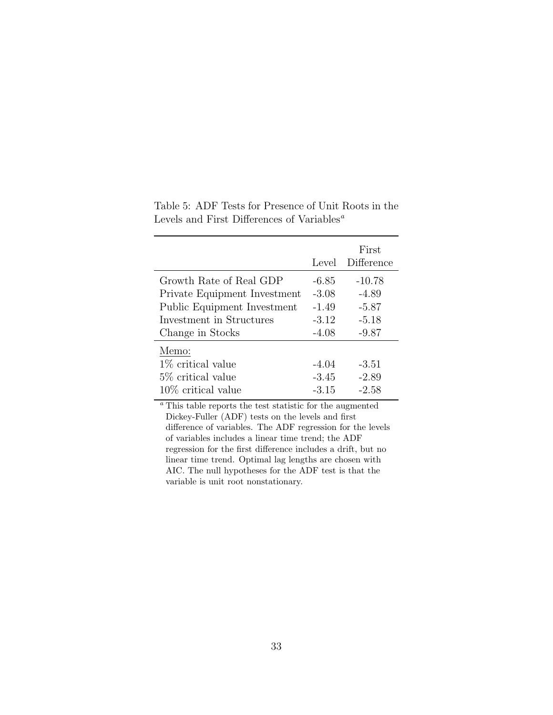|                              | Level   | First<br>Difference |
|------------------------------|---------|---------------------|
| Growth Rate of Real GDP      | -6.85   | $-10.78$            |
| Private Equipment Investment | $-3.08$ | $-4.89$             |
| Public Equipment Investment  | $-1.49$ | $-5.87$             |
| Investment in Structures     | $-3.12$ | $-5.18$             |
| Change in Stocks             | $-4.08$ | $-9.87$             |
| Memo:                        |         |                     |
| $1\%$ critical value         | $-4.04$ | $-3.51$             |
| 5\% critical value           | $-3.45$ | $-2.89$             |
| $10\%$ critical value        | $-3.15$ | $-2.58$             |

<span id="page-33-0"></span>Table 5: ADF Tests for Presence of Unit Roots in the Levels and First Differences of Variables<sup> $a$ </sup>

 $\emph{^a}$  This table reports the test statistic for the augmented Dickey-Fuller (ADF) tests on the levels and first difference of variables. The ADF regression for the levels of variables includes a linear time trend; the ADF regression for the first difference includes a drift, but no linear time trend. Optimal lag lengths are chosen with AIC. The null hypotheses for the ADF test is that the variable is unit root nonstationary.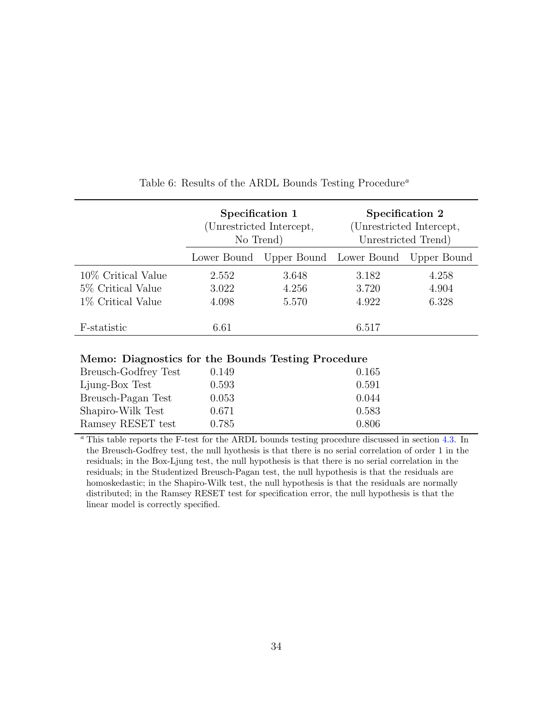<span id="page-34-0"></span>

|                                           | Specification 1<br>(Unrestricted Intercept,<br>No Trend)<br>Upper Bound Lower Bound Upper Bound<br>Lower Bound |                |                | Specification 2<br>(Unrestricted Intercept,<br>Unrestricted Trend) |
|-------------------------------------------|----------------------------------------------------------------------------------------------------------------|----------------|----------------|--------------------------------------------------------------------|
|                                           |                                                                                                                |                |                |                                                                    |
| 10\% Critical Value<br>5\% Critical Value | 2.552<br>3.022                                                                                                 | 3.648<br>4.256 | 3.182<br>3.720 | 4.258<br>4.904                                                     |
| 1\% Critical Value                        | 4.098                                                                                                          | 5.570          | 4.922          | 6.328                                                              |
| F-statistic                               | 6.61                                                                                                           |                | 6.517          |                                                                    |

## Table 6: Results of the ARDL Bounds Testing Procedure<sup>a</sup>

| Memo: Diagnostics for the Bounds Testing Procedure |  |  |  |  |
|----------------------------------------------------|--|--|--|--|
|----------------------------------------------------|--|--|--|--|

| Breusch-Godfrey Test | 0.149 | 0.165 |
|----------------------|-------|-------|
| Ljung-Box Test       | 0.593 | 0.591 |
| Breusch-Pagan Test   | 0.053 | 0.044 |
| Shapiro-Wilk Test    | 0.671 | 0.583 |
| Ramsey RESET test    | 0.785 | 0.806 |

<sup>a</sup> This table reports the F-test for the ARDL bounds testing procedure discussed in section [4.3.](#page-16-1) In the Breusch-Godfrey test, the null hyothesis is that there is no serial correlation of order 1 in the residuals; in the Box-Ljung test, the null hypothesis is that there is no serial correlation in the residuals; in the Studentized Breusch-Pagan test, the null hypothesis is that the residuals are homoskedastic; in the Shapiro-Wilk test, the null hypothesis is that the residuals are normally distributed; in the Ramsey RESET test for specification error, the null hypothesis is that the linear model is correctly specified.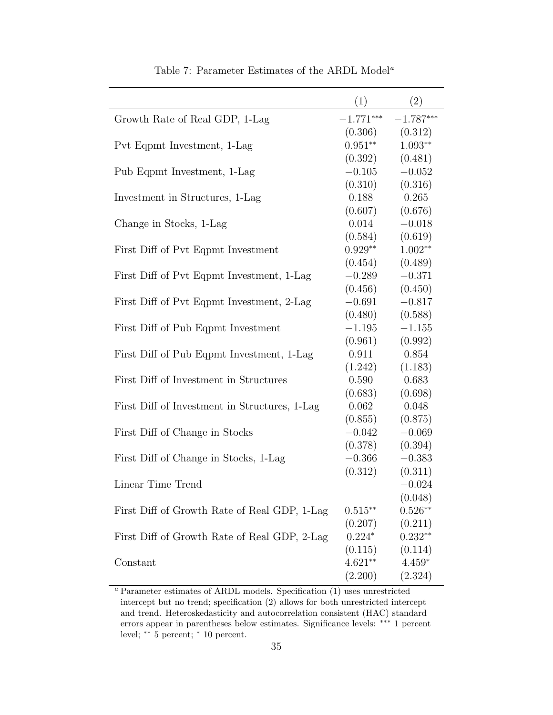<span id="page-35-0"></span>

|                                               | (1)          | (2)         |
|-----------------------------------------------|--------------|-------------|
| Growth Rate of Real GDP, 1-Lag                | $-1.771***$  | $-1.787***$ |
|                                               | (0.306)      | (0.312)     |
| Pvt Eqpmt Investment, 1-Lag                   | $0.951^{**}$ | $1.093**$   |
|                                               | (0.392)      | (0.481)     |
| Pub Eqpmt Investment, 1-Lag                   | $-0.105$     | $-0.052$    |
|                                               | (0.310)      | (0.316)     |
| Investment in Structures, 1-Lag               | 0.188        | 0.265       |
|                                               | (0.607)      | (0.676)     |
| Change in Stocks, 1-Lag                       | 0.014        | $-0.018$    |
|                                               | (0.584)      | (0.619)     |
| First Diff of Pvt Eqpmt Investment            | $0.929**$    | $1.002**$   |
|                                               | (0.454)      | (0.489)     |
| First Diff of Pvt Eqpmt Investment, 1-Lag     | $-0.289$     | $-0.371$    |
|                                               | (0.456)      | (0.450)     |
| First Diff of Pvt Eqpmt Investment, 2-Lag     | $-0.691$     | $-0.817$    |
|                                               | (0.480)      | (0.588)     |
| First Diff of Pub Eqpmt Investment            | $-1.195$     | $-1.155$    |
|                                               | (0.961)      | (0.992)     |
| First Diff of Pub Eqpmt Investment, 1-Lag     | 0.911        | 0.854       |
|                                               | (1.242)      | (1.183)     |
| First Diff of Investment in Structures        | 0.590        | 0.683       |
|                                               | (0.683)      | (0.698)     |
| First Diff of Investment in Structures, 1-Lag | 0.062        | 0.048       |
|                                               | (0.855)      | (0.875)     |
| First Diff of Change in Stocks                | $-0.042$     | $-0.069$    |
|                                               | (0.378)      | (0.394)     |
| First Diff of Change in Stocks, 1-Lag         | $-0.366$     | $-0.383$    |
|                                               | (0.312)      | (0.311)     |
| Linear Time Trend                             |              | $-0.024$    |
|                                               |              | (0.048)     |
| First Diff of Growth Rate of Real GDP, 1-Lag  | $0.515**$    | $0.526**$   |
|                                               | (0.207)      | (0.211)     |
| First Diff of Growth Rate of Real GDP, 2-Lag  | $0.224*$     | $0.232**$   |
|                                               | (0.115)      | (0.114)     |
| Constant                                      | $4.621**$    | $4.459*$    |
|                                               | (2.200)      | (2.324)     |

Table 7: Parameter Estimates of the ARDL Model<sup>a</sup>

<sup>a</sup> Parameter estimates of ARDL models. Specification (1) uses unrestricted intercept but no trend; specification (2) allows for both unrestricted intercept and trend. Heteroskedasticity and autocorrelation consistent (HAC) standard errors appear in parentheses below estimates. Significance levels: ∗∗∗ 1 percent level; ∗∗ 5 percent; <sup>∗</sup> 10 percent.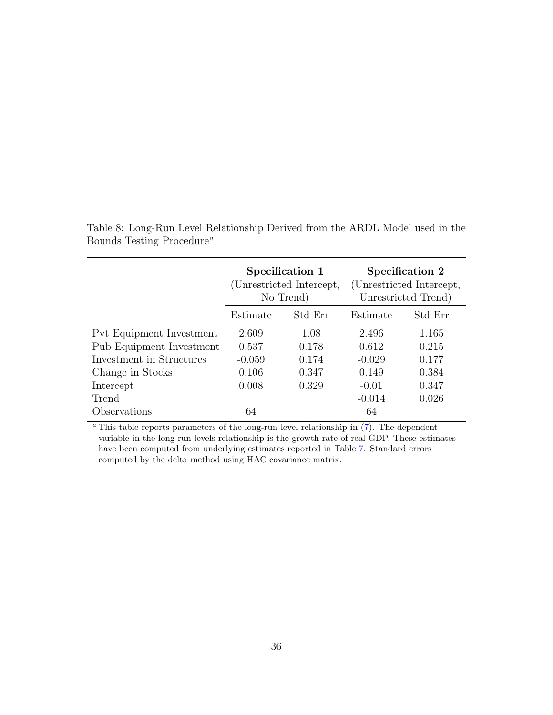|                          | Specification 1<br>(Unrestricted Intercept,<br>No Trend) |                     | Specification 2<br>(Unrestricted Intercept,<br>Unrestricted Trend) |         |
|--------------------------|----------------------------------------------------------|---------------------|--------------------------------------------------------------------|---------|
|                          | Estimate                                                 | Std Err<br>Estimate |                                                                    | Std Err |
| Pvt Equipment Investment | 2.609                                                    | 1.08                | 2.496                                                              | 1.165   |
| Pub Equipment Investment | 0.537                                                    | 0.178               | 0.612                                                              | 0.215   |
| Investment in Structures | $-0.059$                                                 | 0.174               | $-0.029$                                                           | 0.177   |
| Change in Stocks         | 0.106                                                    | 0.347               | 0.149                                                              | 0.384   |
| Intercept                | 0.008                                                    | 0.329               | $-0.01$                                                            | 0.347   |
| Trend                    |                                                          |                     | $-0.014$                                                           | 0.026   |
| Observations             | 64                                                       |                     | 64                                                                 |         |

<span id="page-36-0"></span>Table 8: Long-Run Level Relationship Derived from the ARDL Model used in the Bounds Testing Procedure<sup>a</sup>

 $a$ <sup>n</sup> This table reports parameters of the long-run level relationship in  $(7)$ . The dependent variable in the long run levels relationship is the growth rate of real GDP. These estimates have been computed from underlying estimates reported in Table [7.](#page-35-0) Standard errors computed by the delta method using HAC covariance matrix.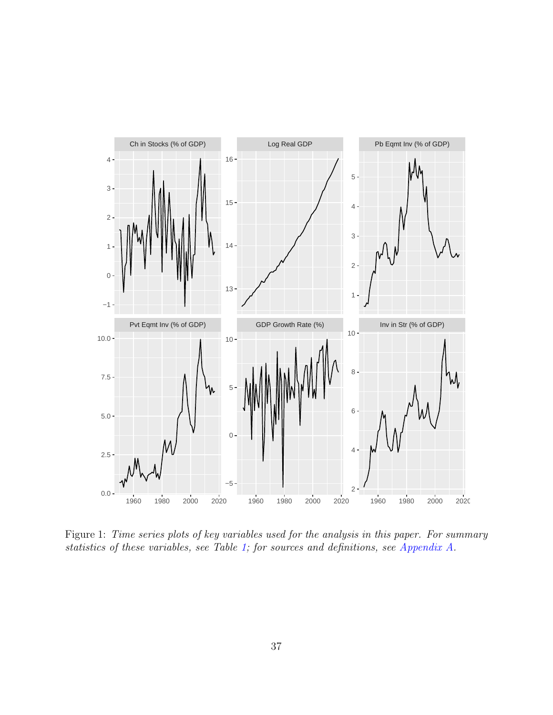<span id="page-37-0"></span>

Figure 1: Time series plots of key variables used for the analysis in this paper. For summary statistics of these variables, see Table [1;](#page-29-0) for sources and definitions, see [Appendix A.](#page-39-0)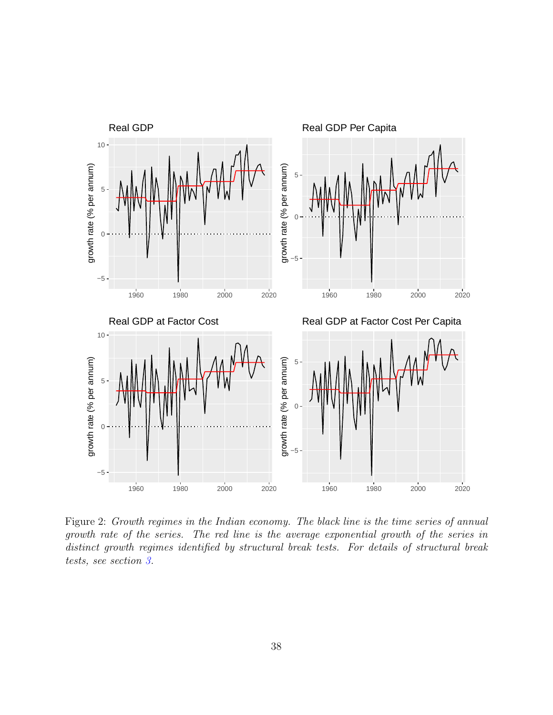<span id="page-38-0"></span>

Figure 2: Growth regimes in the Indian economy. The black line is the time series of annual growth rate of the series. The red line is the average exponential growth of the series in distinct growth regimes identified by structural break tests. For details of structural break tests, see section [3.](#page-6-0)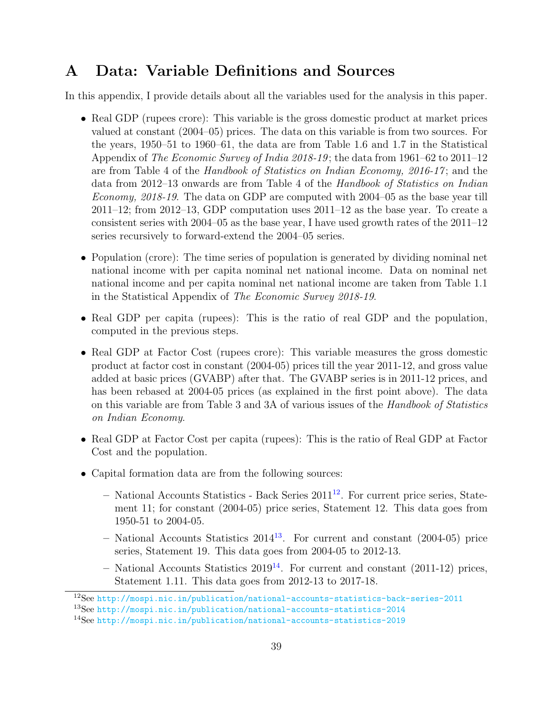# <span id="page-39-0"></span>A Data: Variable Definitions and Sources

In this appendix, I provide details about all the variables used for the analysis in this paper.

- Real GDP (rupees crore): This variable is the gross domestic product at market prices valued at constant (2004–05) prices. The data on this variable is from two sources. For the years, 1950–51 to 1960–61, the data are from Table 1.6 and 1.7 in the Statistical Appendix of The Economic Survey of India 2018-19 ; the data from 1961–62 to 2011–12 are from Table 4 of the Handbook of Statistics on Indian Economy, 2016-17 ; and the data from 2012–13 onwards are from Table 4 of the Handbook of Statistics on Indian *Economy, 2018-19.* The data on GDP are computed with  $2004-05$  as the base year till  $2011-12$ ; from  $2012-13$ , GDP computation uses  $2011-12$  as the base year. To create a consistent series with 2004–05 as the base year, I have used growth rates of the 2011–12 series recursively to forward-extend the 2004–05 series.
- Population (crore): The time series of population is generated by dividing nominal net national income with per capita nominal net national income. Data on nominal net national income and per capita nominal net national income are taken from Table 1.1 in the Statistical Appendix of The Economic Survey 2018-19.
- Real GDP per capita (rupees): This is the ratio of real GDP and the population, computed in the previous steps.
- Real GDP at Factor Cost (rupees crore): This variable measures the gross domestic product at factor cost in constant (2004-05) prices till the year 2011-12, and gross value added at basic prices (GVABP) after that. The GVABP series is in 2011-12 prices, and has been rebased at 2004-05 prices (as explained in the first point above). The data on this variable are from Table 3 and 3A of various issues of the Handbook of Statistics on Indian Economy.
- Real GDP at Factor Cost per capita (rupees): This is the ratio of Real GDP at Factor Cost and the population.
- Capital formation data are from the following sources:
	- $-$  National Accounts Statistics Back Series 2011<sup>[12](#page-39-1)</sup>. For current price series, Statement 11; for constant (2004-05) price series, Statement 12. This data goes from 1950-51 to 2004-05.
	- $-$  National Accounts Statistics 2014<sup>[13](#page-39-2)</sup>. For current and constant (2004-05) price series, Statement 19. This data goes from 2004-05 to 2012-13.
	- National Accounts Statistics  $2019^{14}$  $2019^{14}$  $2019^{14}$ . For current and constant (2011-12) prices, Statement 1.11. This data goes from 2012-13 to 2017-18.

<span id="page-39-1"></span><sup>12</sup>See <http://mospi.nic.in/publication/national-accounts-statistics-back-series-2011>

<span id="page-39-2"></span><sup>13</sup>See <http://mospi.nic.in/publication/national-accounts-statistics-2014>

<span id="page-39-3"></span><sup>14</sup>See <http://mospi.nic.in/publication/national-accounts-statistics-2019>